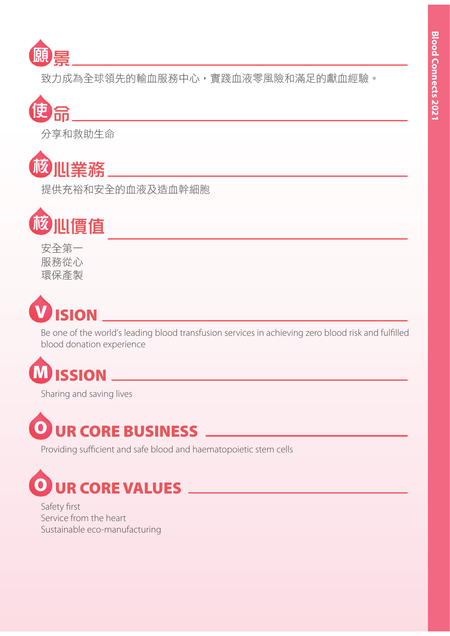

致力成為全球領先的輸血服務中心,實踐血液零風險和滿足的獻血經驗。



分享和救助生命



提供充裕和安全的血液及造血幹細胞



安全第一 服務從心 環保產製



Be one of the world's leading blood transfusion services in achieving zero blood risk and fulfilled blood donation experience

# **M ISSION**

Sharing and saving lives



Providing sufficient and safe blood and haematopoietic stem cells



Safety first Service from the heart Sustainable eco-manufacturing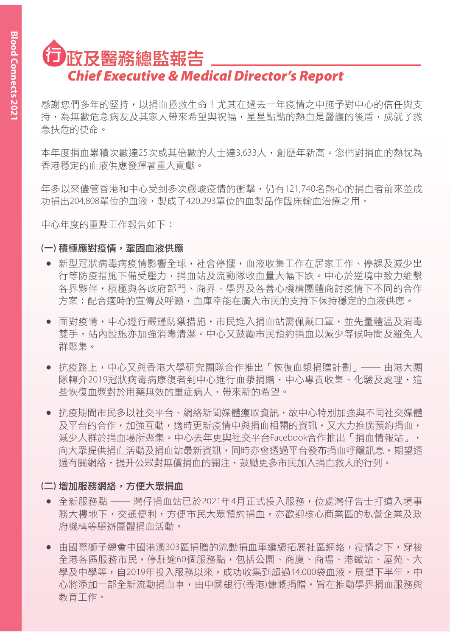# □夜及醫務總監報告 *Chief Executive & Medical Director's Report*

感謝您們多年的堅持,以捐而拯救生命!尤其在過去一年疫情之中施予對中心的信任與支 持,為無數危急病友及其家人帶來希望與祝福,星星點點的熱血是醫護的後盾,成就了救 急扶危的使命。

本年度捐血累積次數逹25次或其倍數的人十達3,633人,創歷年新高。您們對捐血的熱忱為 香港稀罕的血液供應發揮著重大貢獻。

年多以來儘管香港和中心受到多次嚴峻疫情的衝擊,仍有121,740名熱心的捐血者前來並成 功捐出204,808單位的血液,製成了420,293單位的血製品作臨床輸血治療之用。

中心年度的重點工作報告如下:

#### (一) 積極應對疫情,鞏固血液供應

- 新型冠狀病毒病疫情影響全球,社會停擺,血液收集工作在居家工作、停課及減少出 行等防疫措施下備受壓力,捐血站及流動隊收血暈大幅下跌。中心於逆境中致力維繫 各界夥伴,積極與各政府部門、商界、學界及各善心機構團體商討疫情下不同的合作 方案:配合滴時的宣傳及呼籲,而庫幸能在廣大市民的支持下保持穩定的而液供應。
- 面對疫情,中心遵行嚴謹防禦措施,市民進入捐血站需佩戴口罩,並先暈體温及消毒 雙手,站內設施亦加強消毒清潔。中心又鼓勵市民預約捐血以減少等候時間及避免人 群聚集。
- 抗疫路上,中心又與香港大學研究團隊合作推出「恢復血漿捐贈計劃」—— 由港大團 隊轉介2019冠狀病毒病康復者到中心進行血漿捐贈,中心專責收集、化驗及處理,狺 些恢復血漿對於用藥無效的重症病人,帶來新的希望。
- 抗疫期間市民多以社交平台、網絡新聞媒體獲取資訊,故中心特別加強與不同社交媒體 及平台的合作,加強互動,滴時更新疫情中與捐血相關的資訊,又大力推廣預約捐血, 減少人群於捐血場所聚集。中心去年更與社交平台Facebook合作推出「捐血情報站」, 向大眾提供捐血活動及捐血站最新資訊,同時亦會透過平台發布捐血呼籲訊息,期望透 渦有關網絡,提升公眾對無償捐血的關注,鼓勵更多市民加入捐血救人的行列。

#### (二)增加服務網絡,方便大眾捐血

- 全新服務點 —— 灣仔捐血站已於2021年4月正式投入服務,位處灣仔告士打道入境事 務大樓地下,交通便利,方便市民大眾預約捐血,亦歡抑核心商業區的私營企業及政 府機構等舉辦團體捐血活動。
- 由國際獅子總會中國港澳303區捐贈的流動捐血車繼續拓展社區網絡,疫情之下,穿梭 全港各區服務市民,停駐逾60個服務點,包括公園、商廈、商場、港鐵站、屋苑、大 學及中學等,自2019年投入服務以來,成功收集到超過14,000袋血液。展望下半年,中 心將添加一部全新流動捐血車,由中國銀行(香港)慷慨捐贈,旨在推動學界捐血服務與 数音丅作。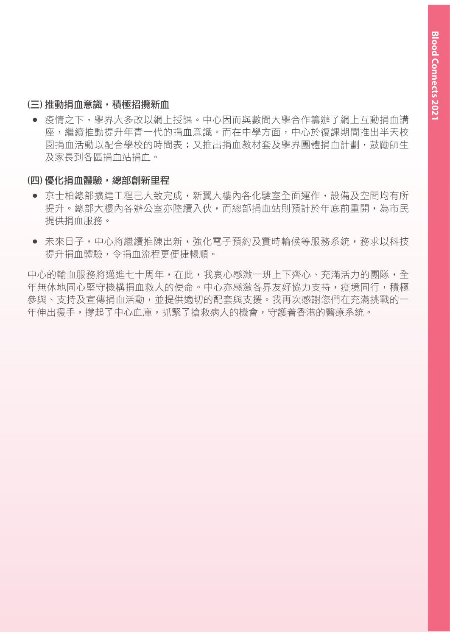#### (三) 推動捐血意識, 積極招攬新血

• 疫情之下,學界大多改以網上授課。中心因而與數間大學合作籌辦了網上互動捐血講 座,繼續推動提升年青一代的捐血意識。而在中學方面,中心於復課期間推出半天校 園捐血活動以配合學校的時間表;又推出捐血教材套及學界團體捐血計劃,鼓勵師生 及家長到各區捐血站捐血。

#### (四) 優化捐血體驗, 總部創新里程

- 京士柏總部擴建工程已大致完成,新翼大樓內各化驗室全面運作,設備及空間均有所 提升。總部大樓內各辦公宰亦陸續入伙,而總部捐血站則預計於年底前重開,為市民 提供捐血服務。
- 未來日子,中心將繼續推陳出新,強化電子預約及實時輪候等服務系統,務求以科技 提升捐血體驗,令捐血流程更便捷暢順。

中心的輸血服務將邁進七十周年,在此,我衷心感激一班上下齊心、充滿活力的團隊,全 年無休地同心堅守機構捐而救人的使命。中心亦感激各界友好協力支持,疫境同行,積極 參與、支持及宣傳捐血活動,並提供滴切的配套與支援。我再次感謝您們在充滿挑戰的一 年伸出援手,撐起了中心而庫,抓緊了搶救病人的機會,守護着香港的醫療系統。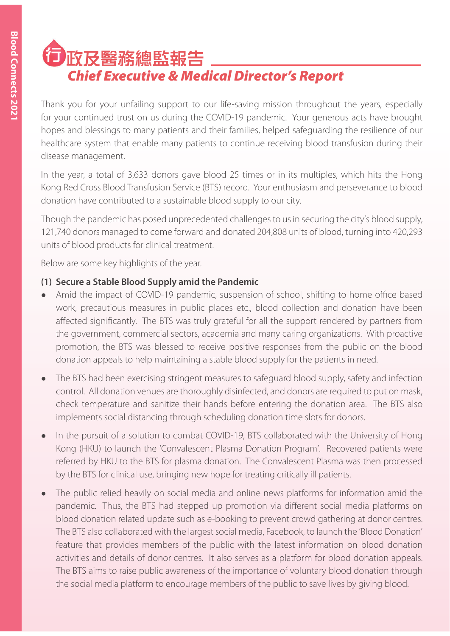# □夜及醫務總監報告 *Chief Executive & Medical Director's Report*

Thank you for your unfailing support to our life-saving mission throughout the years, especially for your continued trust on us during the COVID-19 pandemic. Your generous acts have brought hopes and blessings to many patients and their families, helped safeguarding the resilience of our healthcare system that enable many patients to continue receiving blood transfusion during their disease management.

In the year, a total of 3,633 donors gave blood 25 times or in its multiples, which hits the Hong Kong Red Cross Blood Transfusion Service (BTS) record. Your enthusiasm and perseverance to blood donation have contributed to a sustainable blood supply to our city.

Though the pandemic has posed unprecedented challenges to us in securing the city's blood supply, 121,740 donors managed to come forward and donated 204,808 units of blood, turning into 420,293 units of blood products for clinical treatment.

Below are some key highlights of the year.

### **(1) Secure a Stable Blood Supply amid the Pandemic**

- Amid the impact of COVID-19 pandemic, suspension of school, shifting to home office based work, precautious measures in public places etc., blood collection and donation have been affected significantly. The BTS was truly grateful for all the support rendered by partners from the government, commercial sectors, academia and many caring organizations. With proactive promotion, the BTS was blessed to receive positive responses from the public on the blood donation appeals to help maintaining a stable blood supply for the patients in need.
- The BTS had been exercising stringent measures to safeguard blood supply, safety and infection control. All donation venues are thoroughly disinfected, and donors are required to put on mask, check temperature and sanitize their hands before entering the donation area. The BTS also implements social distancing through scheduling donation time slots for donors.
- In the pursuit of a solution to combat COVID-19, BTS collaborated with the University of Hong Kong (HKU) to launch the 'Convalescent Plasma Donation Program'. Recovered patients were referred by HKU to the BTS for plasma donation. The Convalescent Plasma was then processed by the BTS for clinical use, bringing new hope for treating critically ill patients.
- The public relied heavily on social media and online news platforms for information amid the pandemic. Thus, the BTS had stepped up promotion via different social media platforms on blood donation related update such as e-booking to prevent crowd gathering at donor centres. The BTS also collaborated with the largest social media, Facebook, to launch the 'Blood Donation' feature that provides members of the public with the latest information on blood donation activities and details of donor centres. It also serves as a platform for blood donation appeals. The BTS aims to raise public awareness of the importance of voluntary blood donation through the social media platform to encourage members of the public to save lives by giving blood.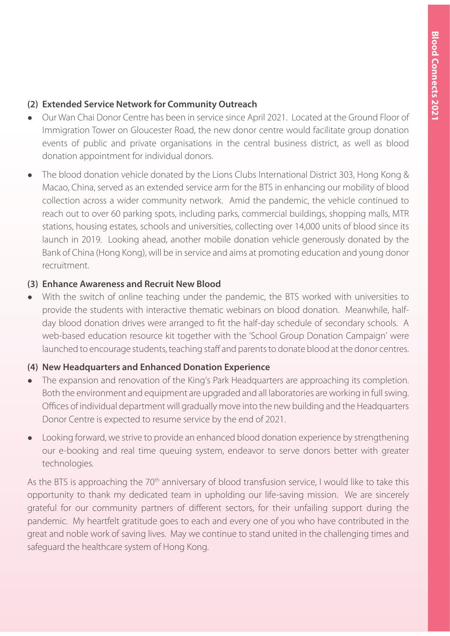### **(2) Extended Service Network for Community Outreach**

- Ɣ Our Wan Chai Donor Centre has been in service since April 2021. Located at the Ground Floor of Immigration Tower on Gloucester Road, the new donor centre would facilitate group donation events of public and private organisations in the central business district, as well as blood donation appointment for individual donors.
- The blood donation vehicle donated by the Lions Clubs International District 303, Hong Kong & Macao, China, served as an extended service arm for the BTS in enhancing our mobility of blood collection across a wider community network. Amid the pandemic, the vehicle continued to reach out to over 60 parking spots, including parks, commercial buildings, shopping malls, MTR stations, housing estates, schools and universities, collecting over 14,000 units of blood since its launch in 2019. Looking ahead, another mobile donation vehicle generously donated by the Bank of China (Hong Kong), will be in service and aims at promoting education and young donor recruitment.

### **(3) Enhance Awareness and Recruit New Blood**

With the switch of online teaching under the pandemic, the BTS worked with universities to provide the students with interactive thematic webinars on blood donation. Meanwhile, halfday blood donation drives were arranged to fit the half-day schedule of secondary schools. A web-based education resource kit together with the 'School Group Donation Campaign' were launched to encourage students, teaching staff and parents to donate blood at the donor centres.

## **(4) New Headquarters and Enhanced Donation Experience**

- The expansion and renovation of the King's Park Headquarters are approaching its completion. Both the environment and equipment are upgraded and all laboratories are working in full swing. Offices of individual department will gradually move into the new building and the Headquarters Donor Centre is expected to resume service by the end of 2021.
- Ɣ Looking forward, we strive to provide an enhanced blood donation experience by strengthening our e-booking and real time queuing system, endeavor to serve donors better with greater technologies.

As the BTS is approaching the 70<sup>th</sup> anniversary of blood transfusion service, I would like to take this opportunity to thank my dedicated team in upholding our life-saving mission. We are sincerely grateful for our community partners of different sectors, for their unfailing support during the pandemic. My heartfelt gratitude goes to each and every one of you who have contributed in the great and noble work of saving lives. May we continue to stand united in the challenging times and safeguard the healthcare system of Hong Kong.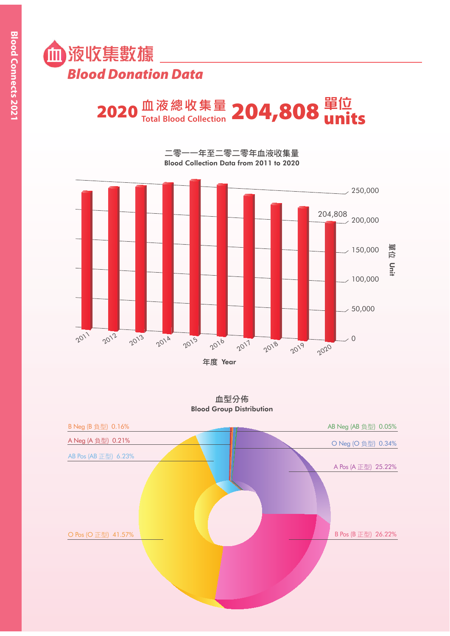

# $2020$   $^{\rm \tiny \textbf{f\#}\ddot{\textbf{g}}\ddot{\textbf{g}}\ddot{\textbf{g}}\ddot{\textbf{g}}\ddot{\textbf{g}}\textbf{g}}$   $204,808$   $^{\rm \textbf{f\#}\ddot{\textbf{g}}\ddot{\textbf{g}}\textbf{g}}_{\textbf{units}}$

二零一一年至二零二零年血液收集量 Blood Collection Data from 2011 to 2020



血型分佈 Blood Group Distribution

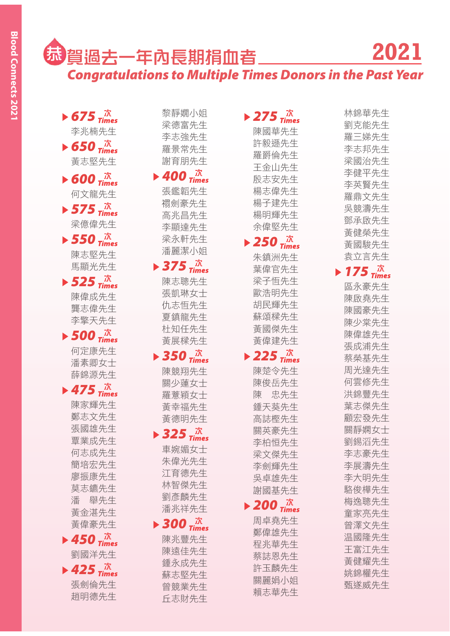## ᖥ ᩚᰭစཀႸᎄᖽჽፘ *Congratulations to Multiple Times Donors in the Past Year* **2021**

 $\triangleright$  675  $\frac{\pi}{2}$ 李兆楠先生

- $\triangleright$  650  $\vec{a}$ 黃志堅先生
- $\blacktriangleright$  600  $\vec{x}$ 何文龍先生

 $\triangleright$  575  $\vec{x}$ 梁億偉先生

- $\triangleright$  550  $\frac{\pi}{2}$ 陳志堅先生 馬顯光先生
- $\triangleright$  525  $\vec{m}$ 陳偉成先生 壟志偉先生 李擎天先生
- $\triangleright$  500  $\frac{\pi}{3}$ 何定康先生 潘素卿女士 薛錦源先生

 $\blacktriangleright$  475  $\vec{x}$ 陳家輝先生 鄭志文先生 張國雄先生 覃業成先生 何志成先生 簡培宏先生 廖振康先生 莫志鑣先生 潘 舉先生 黃金湛先生 黃偉豪先生  $\blacktriangleright$  450  $\frac{\pi}{3}$ 

劉國洋先生  $\blacktriangleright$  425  $\vec{x}$ 張劍倫先生 趙明德先生

黎靜嫺小姐 梁德富先生 李志強先生 羅景常先生 謝育朋先生

- $\blacktriangleright$  400  $\vec{x}$ 張鑑韜先生 禤劍豪先生 高兆昌先生 李顯達先生 梁永軒先生 潘麗潔小姐
- $\blacktriangleright$  375  $\vec{m}$ 陳志聰先生 張凱琳女十 仇志恒先生 夏鎮龍先生 杜知任先生 黃展樑先生
- $\blacktriangleright$  350  $\vec{m}$ 陳競翔先生 關少蓮女十 羅薏穎女士 黃幸福先生 黃德明先生
- $\triangleright$  325  $\frac{\pi}{\text{times}}$ 車婉媚女十 朱偉光先生 江育德先生 林智傑先生 劉彥麟先生 潘兆祥先生
- $\triangleright$  300  $\vec{x}$ 陳兆豐先生 陳遠佳先生 鍾永成先生 蘇志堅先生 曾競業先生 丘志財先生

 $\triangleright$  275  $\frac{R}{\text{times}}$ 陳國華先生 許毅遜先生 羅爵倫先生 王金山先生 殷志安先生 楊志偉先生 楊子建先生 楊明輝先生 余偉堅先生  $\triangleright$  250  $\vec{x}$ 朱鎮洲先生 葉偉官先生 梁子恒先生 歐浩明先生 胡民輝先生 蘇頌樑先生 黃國傑先生 黃偉建先生  $\blacktriangleright$  225  $\vec{x}$ 陳楚令先生 陳俊岳先生 陳 忠先生 鍾天葵先生 高誌樫先生 關英豪先生 李柏恒先生 梁文傑先生 李劍輝先生 吳卓雄先生 謝國基先生  $\blacktriangleright$  200  $\frac{\pi}{2}$ 周卓堯先生 鄭偉雄先生 程兆華先生 蔡誌恩先生 許玉麟先生 關麗娟小姐

賴志華先生

林錦華先生 劉克能先生 羅三娣先生 李志邦先生 梁國治先生 李健平先生 李英賢先生 羅鼎文先生 吳競濤先生 鄧承啟先生 黃健榮先生 黃國駿先生 袁立言先生  $\triangleright$  175  $\vec{x}$ 區永豪先生 陳啟堯先生 陳國豪先生 陳少棠先生 陳偉雄先生 張成浦先生 蔡榮基先生 周光達先生 何雲修先生 洪錦豐先生 葉志傑先生 顧宏發先生 關靜嫻女十 劉錫滔先生 李志豪先生 李展濤先生 李大明先生 駱俊樺先生 梅逸聰先生 童家亮先生 曾澤文先生 温國降先生 王富江先生 黃健耀先生 姚錦權先生 甄遂威先生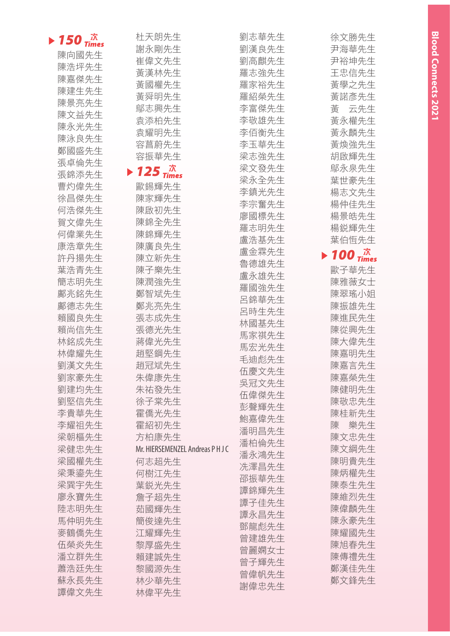| 150 $\vec{a}$ $\vec{b}$ | 杜天朗先生                                                | 劉志華先生 | 徐文勝先生                                                |
|-------------------------|------------------------------------------------------|-------|------------------------------------------------------|
|                         | 謝永剛先生                                                | 劉漢良先生 | 尹海華先生                                                |
| 陳向國先生                   | 崔偉文先生                                                | 劉高麒先生 | 尹裕坤先生                                                |
| 陳浩坪先生                   | 黃漢林先生                                                | 羅志強先生 | 王忠信先生                                                |
| 陳嘉傑先生                   | 黃國權先生                                                | 羅家裕先生 | 黃學之先生                                                |
| 陳建生先生                   | 黃舜明先生                                                | 羅紹榮先生 | 黃諾彥先生                                                |
| 陳景亮先生                   | 鄔志興先生                                                | 李富傑先生 | 云先生<br>黃                                             |
| 陳文益先生                   | 袁添柏先生                                                | 李敬雄先生 | 黃永權先生                                                |
| 陳永光先生                   | 袁耀明先生                                                | 李佰衡先生 | 黃永麟先生                                                |
| 陳泳良先生                   | 容菖蔚先生                                                | 李玉華先生 | 黃煥強先生                                                |
| 鄭國盛先生                   | 容振華先生                                                | 梁志強先生 | 胡啟輝先生                                                |
| 張卓倫先生                   |                                                      | 梁文發先生 | 鄔永泉先生                                                |
| 張錦添先生                   | $\blacktriangleright$ 125 $\frac{\pi}{\text{times}}$ | 梁永全先生 | 葉世豪先生                                                |
| 曹灼偉先生                   | 歐錫輝先生                                                |       | 楊志文先生                                                |
| 徐昌傑先生                   | 陳家輝先生                                                | 李鎮光先生 |                                                      |
| 何浩傑先生                   | 陳啟初先生                                                | 李宗奮先生 | 楊仲佳先生                                                |
| 賀文偉先生                   | 陳錦全先生                                                | 廖國標先生 | 楊景皓先生                                                |
| 何偉業先生                   | 陳錦輝先生                                                | 羅志明先生 | 楊鋭輝先生                                                |
| 康浩章先生                   | 陳廣良先生                                                | 盧浩基先生 | 葉伯恒先生                                                |
| 許丹揚先生                   | 陳立新先生                                                | 盧金霖先生 | $\blacktriangleright$ 100 $\frac{\pi}{\text{times}}$ |
| 葉浩青先生                   | 陳子樂先生                                                | 魯德雄先生 | 歐子華先生                                                |
| 簡志明先生                   | 陳潤強先生                                                | 盧永雄先生 | 陳雅薇女士                                                |
| 鄺兆銘先生                   | 鄭智斌先生                                                | 羅國強先生 | 陳翠瑤小姐                                                |
| 鄺德志先生                   | 鄭兆亮先生                                                | 呂錦華先生 | 陳振雄先生                                                |
|                         | 張志成先生                                                | 呂時生先生 |                                                      |
| 賴國良先生<br>賴尚信先生          | 張德光先生                                                | 林國基先生 | 陳進民先生                                                |
|                         |                                                      | 馬家祺先生 | 陳從興先生                                                |
| 林銘成先生                   | 蔣偉光先生                                                | 馬宏光先生 | 陳大偉先生                                                |
| 林偉耀先生                   | 趙堅鋼先生                                                | 毛迪彪先生 | 陳嘉明先生                                                |
| 劉漢文先生                   | 趙冠斌先生                                                | 伍慶文先生 | 陳嘉言先生                                                |
| 劉家豪先生                   | 朱偉康先生                                                | 吳冠文先生 | 陳嘉榮先生                                                |
| 劉建均先生                   | 朱祐發先生                                                | 伍偉傑先生 | 陳健明先生                                                |
| 劉堅信先生                   | 徐子棠先生                                                | 彭聲輝先生 | 陳敬忠先生                                                |
| 李貴華先生                   | 霍僑光先生                                                | 鮑嘉偉先生 | 陳桂新先生                                                |
| 李耀祖先生                   | 霍紹初先生                                                | 潘明昌先生 | 樂先生<br>陳                                             |
| 梁朝樞先生                   | 方柏康先生                                                | 潘柏倫先生 | 陳文忠先生                                                |
| 梁健忠先生                   | Mr. HIERSEMENZEL Andreas P H J C                     | 潘永鴻先生 | 陳文綱先生                                                |
| 梁國權先生                   | 何志超先生                                                | 冼澤昌先生 | 陳明貴先生                                                |
| 梁秉鎏先生                   | 何樹江先生                                                | 邵振華先生 | 陳炳權先生                                                |
| 梁巽宇先生                   | 葉鋭光先生                                                | 譚錦輝先生 | 陳泰生先生                                                |
| 廖永寶先生                   | 詹子超先生                                                | 譚子佳先生 | 陳維烈先生                                                |
| 陸志明先生                   | 茹國輝先生                                                | 譚永昌先生 | 陳偉麟先生                                                |
| 馬仲明先生                   | 簡俊達先生                                                |       | 陳永豪先生                                                |
| 麥鶴僑先生                   | 江耀輝先生                                                | 鄧龍彪先生 | 陳耀國先生                                                |
| 伍榮炎先生                   | 黎厚盛先生                                                | 曾建雄先生 | 陳旭春先生                                                |
| 潘立群先生                   | 賴建誠先生                                                | 曾麗嫻女士 | 陳傳禮先生                                                |
| 蕭浩廷先生                   | 黎國源先生                                                | 曾子輝先生 | 鄭漢佳先生                                                |
| 蘇永長先生                   | 林少華先生                                                | 曾偉帆先生 | 鄭文鋒先生                                                |
| 譚偉文先生                   | 林偉平先生                                                | 謝偉忠先生 |                                                      |
|                         |                                                      |       |                                                      |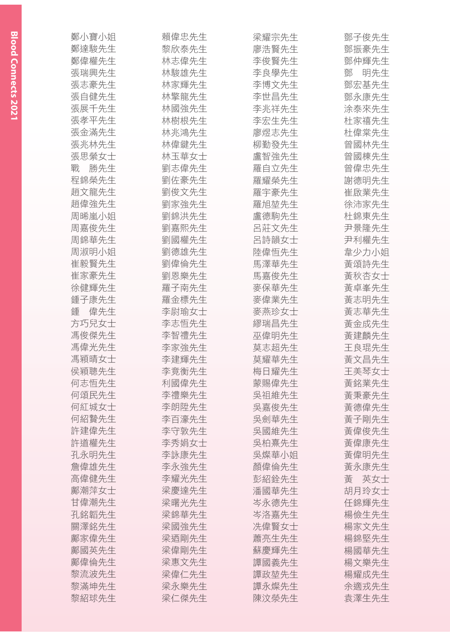| 鄭小寶小姐    | 賴偉忠先生 | 梁耀宗先生 | 鄧子俊先生    |
|----------|-------|-------|----------|
| 鄭達駿先生    | 黎欣泰先生 | 廖浩賢先生 | 鄧振豪先生    |
| 鄭偉權先生    | 林志偉先生 | 李俊賢先生 | 鄧仲輝先生    |
| 張瑞興先生    | 林駿雄先生 | 李良學先生 | 鄧<br>明先生 |
| 張志豪先生    | 林家輝先生 | 李博文先生 | 鄧宏基先生    |
| 張自健先生    | 林擎龍先生 | 李世昌先生 | 鄧永康先生    |
| 張展千先生    | 林國強先生 | 李兆祥先生 | 涂泰來先生    |
| 張孝平先生    | 林樹根先生 | 李宏生先生 | 杜家禧先生    |
| 張金滿先生    | 林兆鴻先生 | 廖煜志先生 | 杜偉棠先生    |
| 張兆林先生    | 林偉鍵先生 | 柳勤發先生 | 曾國林先生    |
| 張思縈女士    | 林玉華女士 | 盧智強先生 | 曾國棟先生    |
| 勝先生<br>戰 | 劉志偉先生 | 羅自立先生 | 曾偉忠先生    |
| 程錦榮先生    | 劉佐豪先生 | 羅耀榮先生 | 謝德明先生    |
| 趙文龍先生    | 劉俊文先生 | 羅宇豪先生 | 崔啟業先生    |
| 趙偉強先生    | 劉家強先生 | 羅旭堃先生 | 徐沛家先生    |
| 周晞嵐小姐    | 劉錦洪先生 | 盧德駒先生 | 杜錦東先生    |
| 周嘉俊先生    | 劉嘉熙先生 | 呂莊文先生 | 尹景隆先生    |
| 周錦華先生    | 劉國權先生 | 呂詩韻女士 | 尹利權先生    |
| 周淑明小姐    | 劉德雄先生 | 陸偉恒先生 | 韋少力小姐    |
| 崔毅賢先生    | 劉偉倫先生 | 馬澤華先生 | 黃頌詩先生    |
| 崔家豪先生    | 劉恩樂先生 | 馬嘉俊先生 | 黃秋杏女士    |
| 徐健輝先生    | 羅子南先生 | 麥保華先生 | 黃卓峯先生    |
| 鍾子康先生    | 羅金標先生 | 麥偉業先生 | 黃志明先生    |
| 偉先生<br>鏈 | 李尉瑜女士 | 麥燕珍女士 | 黃志華先生    |
| 方巧兒女士    | 李志恒先生 | 繆瑞昌先生 | 黃金成先生    |
| 馮俊傑先生    | 李智禮先生 | 巫偉明先生 | 黃建麟先生    |
| 馮偉光先生    | 李家強先生 | 莫志超先生 | 王良琨先生    |
| 馮穎晴女士    | 李建輝先生 | 莫耀華先生 | 黃文昌先生    |
| 侯穎聰先生    | 李竟衡先生 | 梅日耀先生 | 王美琴女士    |
| 何志恒先生    | 利國偉先生 | 蒙賜偉先生 | 黃銘業先生    |
| 何頌民先生    | 李禮樂先生 | 吳祖維先生 | 黃秉豪先生    |
| 何紅城女士    | 李朗陞先生 | 吳嘉俊先生 | 黃德偉先生    |
| 何紹贄先生    | 李百濠先生 | 吳劍華先生 | 黃子剛先生    |
| 許建偉先生    | 李守敦先生 | 吳國維先生 | 黃偉俊先生    |
| 許道權先生    | 李秀娟女士 | 吳柏熹先生 | 黃偉康先生    |
| 孔永明先生    | 李詠康先生 | 吳燦華小姐 | 黃偉明先生    |
| 詹偉雄先生    | 李永強先生 | 顏偉倫先生 | 黃永康先生    |
| 高偉健先生    | 李耀光先生 | 彭紹銓先生 | 黃<br>英女士 |
| 鄺潮萍女士    | 梁慶達先生 | 潘國華先生 | 胡月玲女士    |
| 甘偉潮先生    | 梁曙光先生 | 岑永德先生 | 任錦輝先生    |
| 孔銘韜先生    | 梁錦華先生 | 岑洛嘉先生 | 楊儉生先生    |
| 關澤銘先生    | 梁國強先生 | 冼偉賢女士 | 楊家文先生    |
| 鄺家偉先生    | 梁迺剛先生 | 蕭亮生先生 | 楊錦堅先生    |
| 鄺國英先生    | 梁偉剛先生 | 蘇慶輝先生 | 楊國華先生    |
| 鄺偉倫先生    | 梁惠文先生 | 譚國義先生 | 楊文樂先生    |
| 黎流波先生    | 梁偉仁先生 | 譚政堃先生 | 楊耀成先生    |
| 黎滿坤先生    | 梁永樂先生 | 譚永燦先生 | 余適戎先生    |
| 黎紹球先生    | 梁仁傑先生 | 陳汶滎先生 | 袁澤生先生    |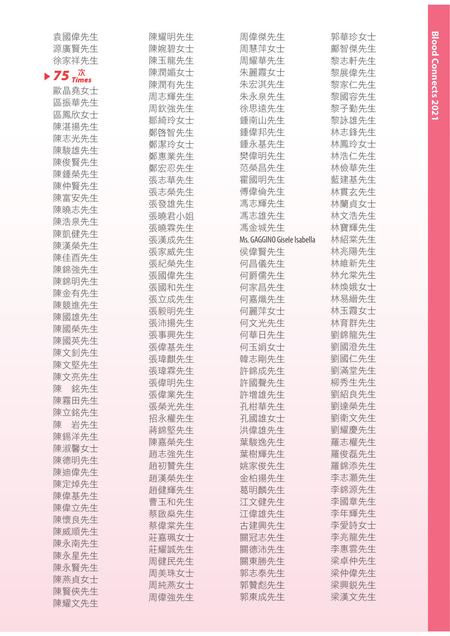| 袁國偉先生        | 陳耀明先生 | 周偉傑先生                       | 郭華珍女士 |
|--------------|-------|-----------------------------|-------|
| 源廣賢先生        | 陳婉碧女士 | 周慧萍女士                       | 鄺智傑先生 |
| 徐家祥先生        | 陳玉龍先生 | 周耀華先生                       | 黎志軒先生 |
| 75 $\vec{x}$ | 陳潤媚女士 | 朱麗霞女士                       | 黎展偉先生 |
|              | 陳潤有先生 | 朱宏淇先生                       | 黎家仁先生 |
| 歐晶堯女士        | 周志輝先生 | 朱永泉先生                       | 黎國容先生 |
| 區振華先生        | 周欽強先生 | 徐思遠先生                       | 黎子勤先生 |
| 區鳳欣女士        | 鄒綺玲女士 | 鍾南山先生                       | 黎詠雄先生 |
| 陳湛揚先生        | 鄭啓智先生 | 鍾偉邦先生                       | 林志鋒先生 |
| 陳志光先生        | 鄭潔玲女士 | 鍾永基先生                       | 林鳳玲女士 |
| 陳駿雄先生        | 鄭惠業先生 | 樊偉明先生                       | 林浩仁先生 |
| 陳俊賢先生        | 鄭宏忍先生 | 范榮昌先生                       | 林儉華先生 |
| 陳鍾榮先生        | 張志華先生 | 霍國明先生                       | 藍建基先生 |
| 陳仲賢先生        | 張志榮先生 | 傅偉倫先生                       | 林貫玄先生 |
| 陳富安先生        | 張發雄先生 | 馮志輝先生                       | 林蘭貞女士 |
| 陳曉志先生        | 張曉君小姐 | 馮志雄先生                       | 林文浩先生 |
| 陳浩泉先生        | 張曉霖先生 | 馮金城先生                       | 林寶輝先生 |
| 陳凱健先生        | 張漢成先生 | Ms. GAGGINO Gisele Isabella | 林紹棠先生 |
| 陳漢榮先生        | 張家威先生 | 侯偉賢先生                       | 林兆陽先生 |
| 陳佳酉先生        | 張紀榮先生 | 何昌儀先生                       | 林維新先生 |
| 陳錦強先生        |       |                             |       |
| 陳錦明先生        | 張國偉先生 | 何爵儒先生                       | 林允棠先生 |
| 陳金有先生        | 張國和先生 | 何家昌先生                       | 林煥娥女士 |
| 陳競進先生        | 張立成先生 | 何嘉熾先生                       | 林易縉先生 |
| 陳國雄先生        | 張毅明先生 | 何麗萍女士                       | 林玉霞女士 |
| 陳國榮先生        | 張沛揚先生 | 何文光先生                       | 林育群先生 |
| 陳國英先生        | 張事興先生 | 何華日先生                       | 劉錦龍先生 |
| 陳文釗先生        | 張偉基先生 | 何玉娟女士                       | 劉國澄先生 |
| 陳文堅先生        | 張瑋麒先生 | 韓志剛先生                       | 劉國仁先生 |
| 陳文亮先生        | 張瑋霖先生 | 許錦成先生                       | 劉滿堂先生 |
| 銘先生<br>陳     | 張偉明先生 | 許國聲先生                       | 柳秀生先生 |
| 陳霧田先生        | 張偉業先生 | 許增雄先生                       | 劉紹良先生 |
| 陳立銘先生        | 張榮光先生 | 孔柑華先生                       | 劉達榮先生 |
| 陳 岩先生        | 招永權先生 | 孔國雄女士                       | 劉衛文先生 |
| 陳錫洋先生        | 蔣錦堅先生 | 洪偉雄先生                       | 劉耀慶先生 |
| 陳淑馨女士        | 陳嘉榮先生 | 葉駿逸先生                       | 羅志權先生 |
| 陳德明先生        | 趙志強先生 | 葉樹輝先生                       | 羅俊磊先生 |
|              | 趙初贊先生 | 姚家俊先生                       | 羅錦添先生 |
| 陳迪偉先生        | 趙漢榮先生 | 金柏揚先生                       | 李志灝先生 |
| 陳定焯先生        | 趙健輝先生 | 葛明麟先生                       | 李錦源先生 |
| 陳偉基先生        | 曹玉和先生 | 江文健先生                       | 李國章先生 |
| 陳偉立先生        | 蔡啟燊先生 | 江偉雄先生                       | 李年輝先生 |
| 陳懷良先生        | 蔡偉棠先生 | 古建興先生                       | 李愛詩女士 |
| 陳威順先生        | 莊嘉珮女士 | 關冠志先生                       | 李兆龍先生 |
| 陳永南先生        | 莊耀誠先生 | 關德沛先生                       | 李惠雲先生 |
| 陳永星先生        | 周健民先生 | 關東勝先生                       | 梁卓仲先生 |
| 陳永賢先生        | 周美珠女士 | 郭志泰先生                       | 梁仲偉先生 |
| 陳燕貞女士        | 周純燕女士 | 郭贊彪先生                       | 梁興鋭先生 |
| 陳賢俠先生        | 周偉強先生 | 郭東成先生                       | 梁漢文先生 |
| 陳耀文先生        |       |                             |       |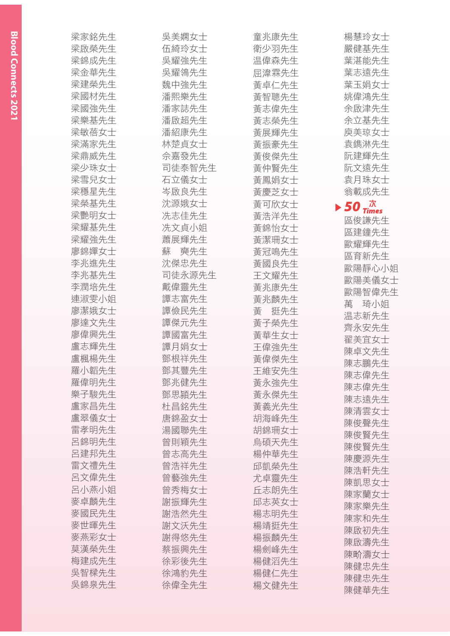| 梁家銘先生 | 吳美嫻女士  | 童兆康先生 | 楊慧玲女士                                                             |
|-------|--------|-------|-------------------------------------------------------------------|
| 梁啟榮先生 | 伍綺玲女十  | 衛少羽先生 | 嚴健基先生                                                             |
| 梁錦成先生 | 吳耀強先生  | 温偉森先生 | 葉湛能先生                                                             |
| 梁金華先生 | 吳耀鴒先生  | 屈湋霖先生 | 葉志遠先生                                                             |
| 梁建榮先生 | 魏中強先生  | 黃卓仁先生 | 葉玉娟女士                                                             |
| 梁國材先生 | 潘熙樂先生  | 黃智聰先生 | 姚偉鴻先生                                                             |
| 梁國強先生 |        |       | 余啟津先生                                                             |
|       | 潘家誌先生  | 黃志偉先生 |                                                                   |
| 梁樂基先生 | 潘啟超先生  | 黃志榮先生 | 余立基先生                                                             |
| 梁敏蓓女士 | 潘紹康先生  | 黃展輝先生 | 庾美琼女士                                                             |
| 梁滿家先生 | 林楚貞女士  | 黃振豪先生 | 袁鐫淋先生                                                             |
| 梁鼎威先生 | 佘嘉發先生  | 黃俊傑先生 | 阮建輝先生                                                             |
| 梁少珠女士 | 司徒泰智先生 | 黃仲賢先生 | 阮文遠先生                                                             |
| 梁雪兒女士 | 石立儀女士  | 黃鳳娟女十 | 袁月珠女士                                                             |
| 梁穩星先生 | 岑啟良先生  | 黃慶芝女十 | 翁載成先生                                                             |
| 梁榮基先生 | 沈源娥女十  | 黃可欣女士 | $\blacktriangleright$ 50 $^{\mathit{\vec{\pi}}}_{\mathit{times}}$ |
| 梁艷明女士 | 冼志佳先生  | 黃浩洋先生 | 區俊謙先生                                                             |
| 梁耀基先生 | 冼文貞小姐  | 黃錦怡女士 | 區建鐘先生                                                             |
| 梁耀強先生 | 蕭展輝先生  | 黃潔珊女士 | 歐耀輝先生                                                             |
| 廖錦嬋女士 | 蘇 奭先生  | 黃冠鳴先生 | 區育新先生                                                             |
| 李兆進先生 | 沈傑忠先生  | 黃國良先生 | 歐陽靜心小姐                                                            |
| 李兆基先生 | 司徒永源先生 | 王文耀先生 | 歐陽美儀女士                                                            |
| 李潤培先生 | 戴偉靈先生  | 黃兆康先生 | 歐陽智偉先生                                                            |
| 連淑雯小姐 | 譚志富先生  | 黃兆麟先生 | 琦小姐<br>萬                                                          |
| 廖潔娥女士 | 譚儉民先生  | 黃 挺先生 |                                                                   |
| 廖達文先生 | 譚傑元先生  | 黃子榮先生 | 温志新先生                                                             |
| 廖偉興先生 | 譚國富先生  | 黃華生女士 | 齊永安先生<br>翟美宜女士                                                    |
| 盧志輝先生 | 譚月娟女士  | 王偉強先生 |                                                                   |
| 盧楓楊先生 | 鄧根祥先生  | 黃偉傑先生 | 陳卓文先生                                                             |
| 羅小韜先生 | 鄧其豐先生  | 王維安先生 | 陳志鵬先生                                                             |
| 羅偉明先生 | 鄧兆健先生  | 黃永強先生 | 陳志偉先生                                                             |
| 樂子駿先生 | 鄧思頴先生  | 黃永傑先生 | 陳志偉先生                                                             |
| 盧家昌先生 | 杜昌銘先生  | 黃義光先生 | 陳志遠先生                                                             |
| 盧翠儀女士 | 唐錦盈女十  | 胡海峰先生 | 陳清雲女士                                                             |
| 雷孝明先生 | 湯國聯先生  | 胡錦珊女士 | 陳俊聲先生                                                             |
| 呂錦明先生 | 曾則穎先生  | 烏碩天先生 | 陳俊賢先生                                                             |
| 呂建邦先生 | 曾志高先生  | 楊仲華先生 | 陳俊賢先生                                                             |
| 雷文禮先生 | 曾浩祥先生  | 邱凱榮先生 | 陳慶源先生                                                             |
| 呂文偉先生 | 曾藝強先生  | 尤卓靈先生 | 陳浩軒先生                                                             |
| 呂小燕小姐 | 曾秀梅女士  | 丘志朗先生 | 陳凱思女士                                                             |
| 麥卓麟先生 | 謝振輝先生  | 邱志英女士 | 陳家蘭女士                                                             |
| 麥國民先生 | 謝浩然先生  | 楊志明先生 | 陳家樂先生                                                             |
| 麥世暉先生 | 謝文沃先生  | 楊靖挺先生 | 陳家和先生                                                             |
| 麥燕彩女士 | 謝得悠先生  | 楊振麟先生 | 陳啟初先生                                                             |
| 莫漢榮先生 | 蔡振興先生  | 楊劍峰先生 | 陳啟濤先生                                                             |
| 梅建成先生 | 徐彩後先生  | 楊健滔先生 | 陳畍濤女士                                                             |
| 吳智樑先生 | 徐鴻豹先生  | 楊健仁先生 | 陳健忠先生                                                             |
| 吳錦泉先生 | 徐偉全先生  | 楊文健先生 | 陳健忠先生                                                             |
|       |        |       | $7+7+1+1$                                                         |

陳健華先生

**Blood Connects 2021 Blood Connects 2021**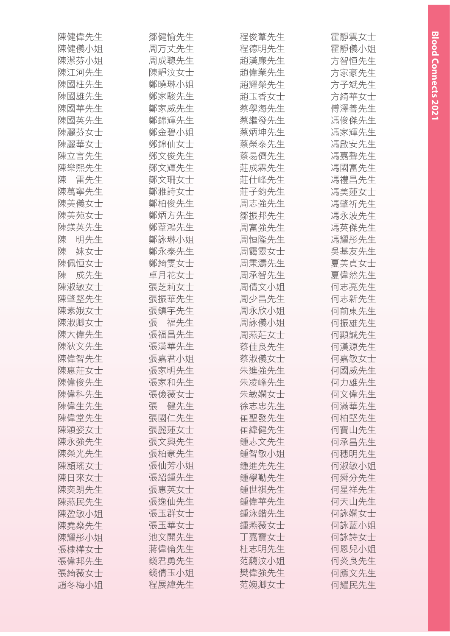| 陳健偉先生    | 鄒健愉先生    | 程俊葦先生 | 霍靜雲女士 |
|----------|----------|-------|-------|
| 陳健儀小姐    | 周万丈先生    | 程德明先生 | 霍靜儀小姐 |
| 陳潔芬小姐    | 周成聰先生    | 趙漢廉先生 | 方智恒先生 |
| 陳江河先生    | 陳靜汶女士    | 趙偉業先生 | 方家豪先生 |
| 陳國柱先生    | 鄭曉琳小姐    | 趙耀榮先生 | 方子斌先生 |
| 陳國雄先生    | 鄭家駿先生    | 趙玉香女士 | 方綺華女士 |
| 陳國華先生    | 鄭家威先生    | 蔡學海先生 | 傅澤善先生 |
| 陳國英先生    | 鄭錦輝先生    | 蔡繼發先生 | 馮俊傑先生 |
| 陳麗芬女士    | 鄭金碧小姐    | 蔡炳坤先生 | 馮家輝先生 |
| 陳麗華女士    | 鄭錦仙女士    | 蔡榮泰先生 | 馮啟安先生 |
| 陳立言先生    | 鄭文俊先生    | 蔡易儕先生 | 馮嘉聲先生 |
| 陳樂熙先生    | 鄭文輝先生    | 莊成霖先生 | 馮國富先生 |
| 雷先生<br>陳 | 鄭文珊女士    | 莊仕峰先生 | 馮禮昌先生 |
| 陳萬寧先生    | 鄭雅詩女士    | 莊子鈞先生 | 馮美蓮女士 |
| 陳美儀女士    | 鄭柏俊先生    | 周志強先生 | 馮肇祈先生 |
| 陳美苑女士    | 鄭炳方先生    | 鄒振邦先生 | 馮永波先生 |
| 陳鎂英先生    | 鄭葦鴻先生    | 周富強先生 | 馮英傑先生 |
| 明先生<br>陳 | 鄭詠琳小姐    | 周恒隆先生 | 馮耀彤先生 |
| 妹女士<br>陳 | 鄭永泰先生    | 周靄靈女士 | 吳基友先生 |
| 陳佩恒女士    | 鄭綺雯女士    | 周秉濤先生 | 夏美貞女士 |
| 成先生<br>陳 | 卓月花女士    | 周承智先生 | 夏偉然先生 |
| 陳淑敏女士    | 張芝莉女士    | 周倩文小姐 | 何志亮先生 |
| 陳肇堅先生    | 張振華先生    | 周少昌先生 | 何志新先生 |
| 陳素娥女士    | 張鎮宇先生    | 周永欣小姐 | 何前東先生 |
| 陳淑卿女士    | 福先生<br>張 | 周詠儀小姐 | 何振雄先生 |
| 陳大偉先生    | 張福昌先生    | 周燕莊女士 | 何顯誠先生 |
| 陳狄文先生    | 張漢華先生    | 蔡佳良先生 | 何漢源先生 |
| 陳偉智先生    | 張嘉君小姐    | 蔡淑儀女士 | 何嘉敏女士 |
| 陳惠莊女士    | 張家明先生    | 朱進強先生 | 何國威先生 |
| 陳偉俊先生    | 張家和先生    | 朱凌峰先生 | 何力雄先生 |
| 陳偉科先生    | 張儉薇女士    | 朱敏嫻女士 | 何文偉先生 |
| 陳偉生先生    | 張り健先生    | 徐志忠先生 | 何滿華先生 |
| 陳偉堂先生    | 張國仁先生    | 崔聖發先生 | 何柏堅先生 |
| 陳穎姿女士    | 張麗蓮女士    | 崔緯健先生 | 何寶山先生 |
| 陳永強先生    | 張文興先生    | 鍾志文先生 | 何承昌先生 |
| 陳榮光先生    | 張柏豪先生    | 鍾智敏小姐 | 何穗明先生 |
| 陳頴瑤女士    | 張仙芳小姐    | 鍾進先先生 | 何淑敏小姐 |
| 陳日來女士    | 張紹鍾先生    | 鍾學勤先生 | 何舜分先生 |
| 陳奕朗先生    | 張惠英女士    | 鍾世祺先生 | 何星祥先生 |
| 陳燕民先生    | 張逸仙先生    | 鍾偉華先生 | 何天山先生 |
| 陳盈敏小姐    | 張玉群女士    | 鍾泳鍇先生 | 何詠嫻女士 |
| 陳堯燊先生    | 張玉華女士    | 鍾燕薇女士 | 何詠藍小姐 |
| 陳耀彤小姐    | 池文開先生    | 丁嘉寶女士 | 何詠詩女士 |
| 張棣樺女士    | 蔣偉倫先生    | 杜志明先生 | 何恩兒小姐 |
| 張偉邦先生    | 錢君勇先生    | 范藹汶小姐 | 何炎良先生 |
| 張綺薇女士    | 錢倩玉小姐    | 樊偉強先生 | 何應文先生 |
| 趙冬梅小姐    | 程展緯先生    | 范婉卿女士 | 何耀民先生 |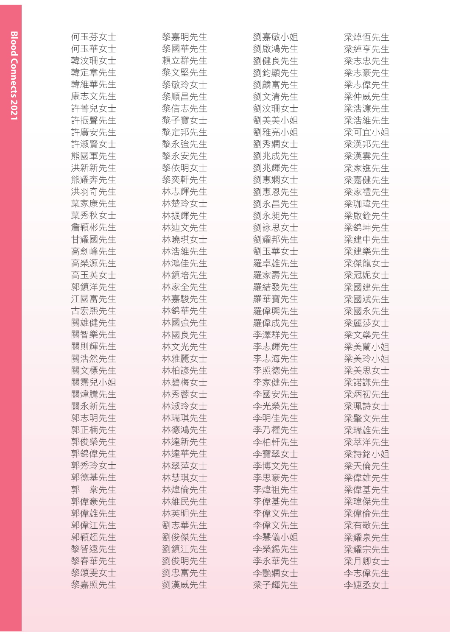| 何玉芬女士    | 黎嘉明先生 | 劉嘉敏小姐 | 梁焯恒先生 |
|----------|-------|-------|-------|
| 何玉華女士    | 黎國華先生 | 劉啟鴻先生 | 梁綽亨先生 |
| 韓汶珊女士    | 賴立群先生 | 劉健良先生 | 梁志忠先生 |
| 韓定章先生    | 黎文堅先生 | 劉鈞顯先生 | 梁志豪先生 |
| 韓維華先生    | 黎敏玲女士 | 劉麟富先生 | 梁志偉先生 |
| 康志文先生    | 黎順昌先生 | 劉文清先生 | 梁仲威先生 |
| 許菁兒女士    | 黎信志先生 | 劉汶珊女士 | 梁浩濂先生 |
| 許振聲先生    | 黎子寶女士 | 劉美美小姐 | 梁浩維先生 |
| 許廣安先生    | 黎定邦先生 | 劉雅亮小姐 | 梁可宜小姐 |
| 許淑賢女士    | 黎永強先生 | 劉秀嫻女士 | 梁漢邦先生 |
| 熊國軍先生    | 黎永安先生 | 劉兆成先生 | 梁漢雲先生 |
| 洪新新先生    | 黎依明女士 | 劉兆輝先生 | 梁家進先生 |
| 熊耀奔先生    | 黎奕軒先生 | 劉惠嫻女士 | 梁嘉健先生 |
| 洪羽奇先生    | 林志輝先生 | 劉惠恩先生 | 梁家禮先生 |
| 葉家康先生    | 林楚玲女士 | 劉永昌先生 | 梁珈瑋先生 |
| 葉秀秋女士    | 林振輝先生 | 劉永昶先生 | 梁啟銓先生 |
| 詹穎彬先生    | 林迪文先生 | 劉詠思女士 | 梁錦坤先生 |
| 甘耀國先生    | 林曉琪女士 | 劉耀邦先生 | 梁建中先生 |
| 高劍峰先生    | 林浩維先生 | 劉玉華女士 | 梁建樂先生 |
| 高榮源先生    | 林鴻佳先生 | 羅卓雄先生 | 梁傑龍女士 |
| 高玉英女士    | 林鎮培先生 | 羅家壽先生 | 梁冠妮女士 |
| 郭鎮洋先生    | 林家全先生 | 羅結發先生 | 梁國建先生 |
| 江國富先生    | 林嘉駿先生 | 羅華寶先生 | 梁國斌先生 |
| 古宏熙先生    | 林錦華先生 | 羅偉興先生 | 梁國永先生 |
| 關雄健先生    | 林國強先生 | 羅偉成先生 | 梁麗莎女士 |
| 關智樂先生    | 林國良先生 | 李澤群先生 | 梁文燊先生 |
| 關則輝先生    | 林文光先生 | 李志輝先生 | 梁美蘭小姐 |
| 關浩然先生    | 林雅麗女士 | 李志海先生 | 梁美玲小姐 |
| 關文標先生    | 林柏諺先生 | 李照德先生 | 梁美思女士 |
| 關霈兒小姐    | 林碧梅女士 | 李家健先生 | 梁諾謙先生 |
| 關煒騰先生    | 林秀蓉女士 | 李國安先生 | 梁炳初先生 |
| 關永新先生    | 林淑玲女士 | 李光榮先生 | 梁珮詩女士 |
| 郭志明先生    | 林瑞琪先生 | 李明佳先生 | 梁肇文先生 |
| 郭正楠先生    | 林德鴻先生 | 李乃權先生 | 梁瑞雄先生 |
| 郭俊榮先生    | 林達新先生 | 李柏軒先生 | 梁萃洋先生 |
| 郭錦偉先生    | 林達華先生 | 李寶翠女士 | 梁詩銘小姐 |
| 郭秀玲女士    | 林翠萍女士 | 李博文先生 | 梁天倫先生 |
| 郭德基先生    | 林慧琪女士 | 李思豪先生 | 梁偉雄先生 |
| 棠先生<br>郭 | 林煒倫先生 | 李煒祖先生 | 梁偉基先生 |
| 郭偉豪先生    | 林維民先生 | 李偉基先生 | 梁瑋傑先生 |
| 郭偉雄先生    | 林英明先生 | 李偉文先生 | 梁偉倫先生 |
| 郭偉江先生    | 劉志華先生 | 李偉文先生 | 梁有敬先生 |
| 郭穎超先生    | 劉俊傑先生 | 李慧儀小姐 | 梁耀泉先生 |
| 黎智遠先生    | 劉鎮江先生 | 李榮錫先生 | 梁耀宗先生 |
| 黎春華先生    | 劉俊明先生 | 李永華先生 | 梁月卿女士 |
| 黎頌雯女士    | 劉忠富先生 | 李艷嫻女士 | 李志偉先生 |
| 黎嘉照先生    | 劉漢威先生 | 梁子輝先生 | 李婕丞女士 |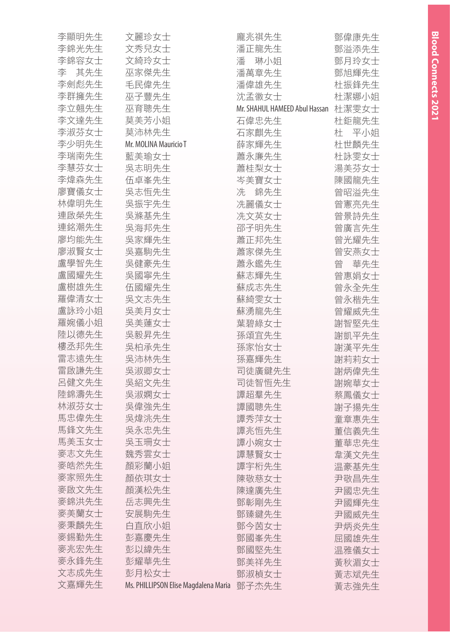| 李顯明先生 | 文麗珍女士                                | 龐兆祺先生                         | 鄧偉康先生    |
|-------|--------------------------------------|-------------------------------|----------|
| 李錦光先生 | 文秀兒女士                                | 潘正龍先生                         | 鄧溢添先生    |
| 李錦容女士 | 文綺玲女士                                | 琳小姐<br>潘                      | 鄧月玲女士    |
| 李 其先生 | 巫家傑先生                                | 潘萬章先生                         | 鄧旭輝先生    |
| 李劍彪先生 | 毛民偉先生                                | 潘偉雄先生                         | 杜振鋒先生    |
| 李群擁先生 | 巫子豐先生                                | 沈孟徽女士                         | 杜潔娜小姐    |
| 李立翹先生 | 巫育聰先生                                | Mr. SHAHUL HAMEED Abul Hassan | 杜潔雯女士    |
| 李文達先生 | 莫美芳小姐                                | 石偉忠先生                         | 杜鉅龍先生    |
| 李淑芬女士 | 莫沛林先生                                | 石家麒先生                         | 杜<br>平小姐 |
| 李少明先生 | Mr. MOLINA Mauricio T                | 薛家輝先生                         | 杜世麟先生    |
| 李瑞南先生 | 藍美瑜女士                                | 蕭永廉先生                         | 杜詠雯女士    |
| 李慧芬女士 | 吳志明先生                                | 蕭桂梨女士                         | 湯美芬女士    |
| 李煒森先生 | 伍卓峯先生                                | 岑美寶女士                         | 陳國龍先生    |
| 廖寶儀女士 | 吳志恒先生                                | 錦先生<br>冼                      | 曾昭溢先生    |
| 林偉明先生 | 吳振宇先生                                | 冼麗儀女士                         | 曾憲亮先生    |
| 連啟榮先生 | 吳滌基先生                                | 冼文英女士                         | 曾景詩先生    |
| 連銘潮先生 | 吳海邦先生                                | 邵子明先生                         | 曾廣言先生    |
| 廖均能先生 | 吳家輝先生                                | 蕭正邦先生                         | 曾光耀先生    |
| 廖淑賢女士 | 吳嘉駒先生                                | 蕭家傑先生                         | 曾安燕女士    |
| 盧學智先生 | 吳健豪先生                                | 蕭永鑑先生                         | 曾<br>華先生 |
| 盧國耀先生 | 吳國寧先生                                | 蘇志輝先生                         | 曾惠娟女士    |
| 盧樹雄先生 | 伍國耀先生                                | 蘇成志先生                         | 曾永全先生    |
| 羅偉清女士 | 吳文志先生                                | 蘇綺雯女士                         | 曾永楷先生    |
| 盧詠玲小姐 | 吳美月女士                                | 蘇湧龍先生                         | 曾耀威先生    |
| 羅婉儀小姐 | 吳美蓮女士                                | 葉碧綠女士                         | 謝智堅先生    |
| 陸以德先生 | 吳毅昇先生                                | 孫頌宜先生                         | 謝凱平先生    |
| 樓丞邦先生 | 吳柏承先生                                | 孫家怡女士                         | 謝漢平先生    |
| 雷志遠先生 | 吳沛林先生                                | 孫嘉輝先生                         | 謝莉莉女士    |
| 雷啟謙先生 | 吳淑卿女士                                | 司徒廣鍵先生                        | 謝炳偉先生    |
| 呂健文先生 | 吳紹文先生                                | 司徒智恒先生                        | 謝婉華女士    |
| 陸錦濤先生 | 吳淑嫻女士                                | 譚超羣先生                         | 蔡鳳儀女士    |
| 林淑芬女士 | 吳偉強先生                                | 譚國聰先生                         | 謝子揚先生    |
| 馬忠偉先生 | 吳煒洮先生                                | 譚秀萍女士                         | 童章惠先生    |
| 馬鋒文先生 | 吳永忠先生                                | 譚兆恒先生                         | 董信義先生    |
| 馬美玉女士 | 吳玉珊女士                                | 譚小婉女士                         | 董華忠先生    |
| 麥志文先生 | 魏秀雲女士                                | 譚慧賢女士                         | 韋漢文先生    |
| 麥皓然先生 | 顏彩蘭小姐                                | 譚宇桁先生                         | 温豪基先生    |
| 麥家照先生 | 顏依琪女士                                | 陳敬慈女士                         | 尹敬昌先生    |
| 麥啟文先生 | 顏漢松先生                                | 陳達廣先生                         | 尹國忠先生    |
| 麥錦洪先生 | 岳志興先生                                | 鄧彰剛先生                         | 尹國輝先生    |
| 麥美蘭女士 | 安展駒先生                                | 鄧臻鍵先生                         | 尹國威先生    |
| 麥秉麟先生 | 白直欣小姐                                | 鄧今茵女士                         | 尹炳炎先生    |
| 麥錫勤先生 | 彭嘉慶先生                                | 鄧國峯先生                         | 屈國雄先生    |
| 麥兆宏先生 | 彭以緯先生                                | 鄧國堅先生                         | 温雅儀女士    |
| 麥永鋒先生 | 彭耀華先生                                | 鄧美祥先生                         | 黃秋湄女士    |
| 文志成先生 | 彭月松女士                                | 鄧淑楨女士                         | 黃志斌先生    |
| 文嘉輝先生 | Ms. PHILLIPSON Elise Magdalena Maria | 鄧子杰先生                         | 黃志強先生    |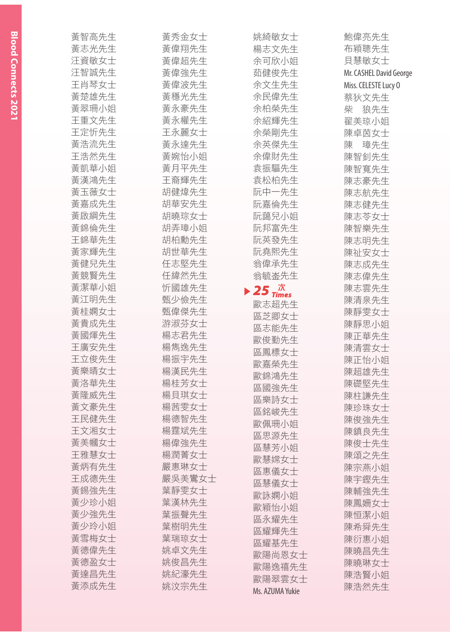| 黃智高先生 | 黃秀金女士  | 姚綺敏女士                                                              | 鮑偉亮先生                   |
|-------|--------|--------------------------------------------------------------------|-------------------------|
| 黃志光先生 | 黃偉翔先生  | 楊志文先生                                                              | 布穎聰先生                   |
| 汪資敏女士 | 黃偉超先生  | 余可欣小姐                                                              | 貝慧敏女士                   |
| 汪智誠先生 | 黃偉強先生  | 茹健俊先生                                                              | Mr. CASHEL David George |
| 王肖琴女士 | 黃偉波先生  | 余文生先生                                                              | Miss. CELESTE Lucy 0    |
| 黃楚雄先生 | 黃穩光先生  | 余民偉先生                                                              | 蔡狄文先生                   |
| 黃翠珊小姐 | 黃永豪先生  | 余柏榮先生                                                              | 柴<br>狼先生                |
| 王重文先生 | 黃永權先生  | 余紹輝先生                                                              | 翟美琼小姐                   |
| 王定忻先生 | 王永麗女士  | 余榮剛先生                                                              | 陳卓茵女士                   |
| 黃浩流先生 | 黃永達先生  | 余英傑先生                                                              | 璋先生<br>陳                |
| 王浩然先生 | 黃婉怡小姐  | 余偉財先生                                                              | 陳智釗先生                   |
| 黃凱華小姐 | 黃月平先生  | 袁振驅先生                                                              | 陳智寬先生                   |
| 黃漢鴻先生 | 王裔輝先生  | 袁松柏先生                                                              | 陳志豪先生                   |
| 黃玉薇女士 | 胡健煒先生  | 阮中一先生                                                              | 陳志航先生                   |
| 黃嘉成先生 | 胡華安先生  | 阮嘉倫先生                                                              | 陳志健先生                   |
| 黃啟綱先生 | 胡曉琮女士  | 阮藹兒小姐                                                              | 陳志苓女士                   |
| 黃錦倫先生 | 胡弄璋小姐  | 阮邦富先生                                                              | 陳智樂先生                   |
| 王錦華先生 | 胡柏勳先生  | 阮英發先生                                                              | 陳志明先生                   |
| 黃家輝先生 | 胡世華先生  | 阮堯熙先生                                                              | 陳祉安女士                   |
| 黃健兒先生 | 任志堅先生  | 翁偉承先生                                                              | 陳志成先生                   |
| 黃競賢先生 | 任緯然先生  | 翁毓崟先生                                                              | 陳志偉先生                   |
| 黃潔華小姐 | 忻國雄先生  |                                                                    | 陳志雲先生                   |
| 黃江明先生 | 甄少儉先生  | $\blacktriangleright$ 25 $\vec{a}$ <sup><math>\vec{K}</math></sup> | 陳清泉先生                   |
| 黃桂嫻女士 | 甄偉傑先生  | 歐志超先生                                                              | 陳靜雯女士                   |
| 黃貴成先生 | 游淑芬女士  | 區芝卿女士                                                              | 陳靜思小姐                   |
| 黃國煇先生 | 楊志君先生  | 區志能先生                                                              | 陳正華先生                   |
| 王廣安先生 | 楊雋逸先生  | 歐俊勤先生                                                              | 陳清雲女士                   |
| 王立俊先生 | 楊振宇先生  | 區鳳標女士                                                              | 陳正怡小姐                   |
| 黃樂晴女士 | 楊漢民先生  | 歐嘉榮先生                                                              |                         |
| 黃洛華先生 | 楊桂芳女士  | 歐錦鴻先生                                                              | 陳超雄先生                   |
| 黃隆威先生 | 楊貝琪女士  | 區國強先生                                                              | 陳礎堅先生                   |
|       |        | 區樂詩女士                                                              | 陳柱謙先生                   |
| 黃文豪先生 | 楊茜雯女士  | 區銘峻先生                                                              | 陳珍珠女士                   |
| 王民健先生 | 楊德智先生  | 歐佩珊小姐                                                              | 陳俊強先生                   |
| 王文湘女士 | 楊霆斌先生  | 區思源先生                                                              | 陳鎮良先生                   |
| 黃美幗女士 | 楊偉強先生  | 區慧芳小姐                                                              | 陳俊士先生                   |
| 王雅慧女士 | 楊潤菁女士  | 歐慧嫦女士                                                              | 陳頌之先生                   |
| 黃炳有先生 | 嚴惠琳女士  | 區惠儀女士                                                              | 陳宗燕小姐                   |
| 王成德先生 | 嚴吳美鸞女士 | 區慧儀女士                                                              | 陳宇鏗先生                   |
| 黃錫強先生 | 葉靜雯女士  | 歐詠嫻小姐                                                              | 陳輔強先生                   |
| 黃少珍小姐 | 葉漢林先生  | 歐穎怡小姐                                                              | 陳鳳姍女士                   |
| 黃少強先生 | 葉振聲先生  | 區永耀先生                                                              | 陳恒潔小姐                   |
| 黃少玲小姐 | 葉樹明先生  | 區耀輝先生                                                              | 陳希舜先生                   |
| 黃雪梅女士 | 葉瑞琼女士  | 區耀基先生                                                              | 陳衍惠小姐                   |
| 黃德偉先生 | 姚卓文先生  | 歐陽尚恩女士                                                             | 陳曉昌先生                   |
| 黃德盈女士 | 姚俊昌先生  | 歐陽逸禧先生                                                             | 陳曉琳女士                   |
| 黃達昌先生 | 姚紀濠先生  | 歐陽翠雲女士                                                             | 陳浩賢小姐                   |
| 黃添成先生 | 姚汶宗先生  | Ms. AZUMA Yukie                                                    | 陳浩然先生                   |
|       |        |                                                                    |                         |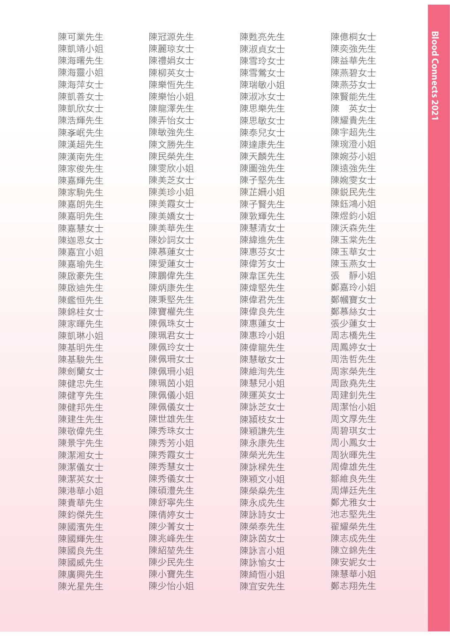| 陳可業先生 | 陳冠源先生 | 陳甦亮先生 | 陳億桐女士    |
|-------|-------|-------|----------|
| 陳凱靖小姐 | 陳麗琼女士 | 陳淑貞女士 | 陳奕強先生    |
| 陳海曙先生 | 陳禮娟女士 | 陳雪玲女士 | 陳益華先生    |
| 陳海靈小姐 | 陳柳英女士 | 陳雪鶯女士 | 陳燕碧女士    |
| 陳海萍女士 | 陳樂恆先生 | 陳瑞敏小姐 | 陳燕芬女士    |
| 陳凱善女士 | 陳樂怡小姐 | 陳淑冰女士 | 陳賢能先生    |
| 陳凱欣女士 | 陳龍澤先生 | 陳思樂先生 | 英女士<br>陳 |
| 陳浩輝先生 | 陳弄怡女士 | 陳思敏女士 | 陳耀貴先生    |
| 陳斈岷先生 | 陳敏強先生 | 陳泰兒女士 | 陳宇超先生    |
| 陳漢超先生 | 陳文勝先生 | 陳達康先生 | 陳琬澄小姐    |
| 陳漢南先生 | 陳民榮先生 | 陳天麟先生 | 陳婉芬小姐    |
| 陳家俊先生 | 陳雯欣小姐 | 陳圖強先生 | 陳遠強先生    |
| 陳嘉輝先生 | 陳美芝女士 | 陳子堅先生 | 陳婉雯女士    |
| 陳家駒先生 | 陳美珍小姐 | 陳芷姍小姐 | 陳鋭民先生    |
| 陳嘉朗先生 | 陳美霞女士 | 陳子賢先生 | 陳鈺鴻小姐    |
| 陳嘉明先生 | 陳美嬌女士 | 陳敦輝先生 | 陳煜鈞小姐    |
| 陳嘉慧女士 | 陳美華先生 | 陳慧清女士 | 陳沃森先生    |
| 陳迦恩女士 | 陳妙詞女士 | 陳緯進先生 | 陳玉棠先生    |
| 陳嘉宜小姐 | 陳慕蓮女士 | 陳惠芬女士 | 陳玉華女士    |
| 陳嘉瑜先生 | 陳愛蓮女士 | 陳偉芳女士 | 陳玉燕女士    |
| 陳啟豪先生 | 陳鵬偉先生 | 陳韋匡先生 | 靜小姐<br>張 |
| 陳啟迪先生 | 陳炳康先生 | 陳煒堅先生 | 鄭嘉玲小姐    |
| 陳鑑恒先生 | 陳秉堅先生 | 陳偉君先生 | 鄭幗寶女士    |
| 陳錦桂女士 | 陳寶權先生 | 陳偉良先生 | 鄭慕絲女士    |
| 陳家暉先生 | 陳佩珠女士 | 陳惠蓮女士 | 張少蓮女士    |
| 陳凱琳小姐 | 陳珮君女士 | 陳惠玲小姐 | 周志橋先生    |
| 陳基明先生 | 陳佩玲女士 | 陳偉龍先生 | 周鳳婷女士    |
| 陳基駿先生 | 陳佩珊女士 | 陳慧敏女士 | 周浩哲先生    |
| 陳劍蘭女士 | 陳佩珊小姐 | 陳維洵先生 | 周家榮先生    |
| 陳健忠先生 | 陳珮茵小姐 | 陳慧兒小姐 | 周啟堯先生    |
| 陳健亨先生 | 陳佩儀小姐 | 陳運英女士 | 周建釗先生    |
| 陳健邦先生 | 陳佩儀女士 | 陳詠芝女士 | 周潔怡小姐    |
| 陳建生先生 | 陳世雄先生 | 陳頴枝女士 | 周文厚先生    |
| 陳敬偉先生 | 陳秀珠女士 | 陳穎謙先生 | 周碧琪女士    |
| 陳景宇先生 | 陳秀芳小姐 | 陳永康先生 | 周小鳳女士    |
| 陳潔湘女士 | 陳秀霞女士 | 陳榮光先生 | 周狄暉先生    |
| 陳潔儀女士 | 陳秀慧女士 | 陳詠樑先生 | 周偉雄先生    |
| 陳潔英女士 | 陳秀儀女士 | 陳穎文小姐 | 鄒維良先生    |
| 陳港華小姐 | 陳碩澧先生 | 陳榮燊先生 | 周燁廷先生    |
| 陳貴華先生 | 陳舒寧先生 | 陳永成先生 | 鄭尤雅女士    |
| 陳鈞傑先生 | 陳倩婷女士 | 陳詠詩女士 | 池志堅先生    |
| 陳國濱先生 | 陳少菁女士 | 陳榮泰先生 | 翟耀榮先生    |
| 陳國輝先生 | 陳兆峰先生 | 陳詠茵女士 | 陳志成先生    |
| 陳國良先生 | 陳紹堃先生 | 陳詠言小姐 | 陳立錦先生    |
| 陳國威先生 | 陳少民先生 | 陳詠愉女士 | 陳安妮女士    |
| 陳廣興先生 | 陳小寶先生 | 陳綺恆小姐 | 陳慧華小姐    |
| 陳光星先生 | 陳少怡小姐 | 陳宜安先生 | 鄭志翔先生    |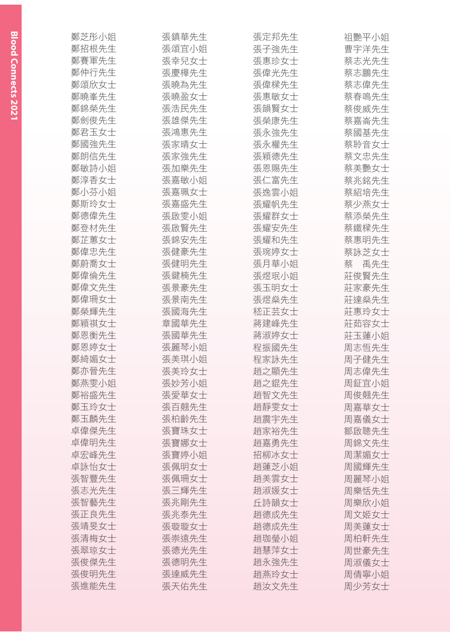| 鄭芝彤小姐 | 張鎮華先生 | 張定邦先生 | 祖艷平小姐 |
|-------|-------|-------|-------|
| 鄭招根先生 | 張頌宜小姐 | 張子強先生 | 曹宇洋先生 |
| 鄭賽軍先生 | 張幸兒女士 | 張惠珍女士 | 蔡志光先生 |
| 鄭仲行先生 | 張慶樺先生 | 張偉光先生 | 蔡志鵬先生 |
| 鄭頌欣女士 | 張曉為先生 | 張偉樑先生 | 蔡志偉先生 |
| 鄭曉峯先生 | 張曉盈女士 | 張惠敏女士 | 蔡春鳴先生 |
| 鄭錦榮先生 | 張浩民先生 | 張韻賢女士 | 蔡俊威先生 |
| 鄭劍俊先生 | 張雄傑先生 | 張榮康先生 | 蔡嘉崙先生 |
| 鄭君玉女士 | 張鴻惠先生 | 張永強先生 | 蔡國基先生 |
| 鄭國強先生 | 張家晴女士 | 張永權先生 | 蔡聆音女士 |
| 鄭朗信先生 | 張家強先生 | 張穎德先生 | 蔡文忠先生 |
| 鄭敏詩小姐 | 張加樂先生 | 張恩賜先生 | 蔡美艷女士 |
| 鄭淳香女士 | 張嘉敏小姐 | 張仁富先生 | 蔡兆銘先生 |
| 鄭小芬小姐 | 張嘉珮女士 | 張逸雲小姐 | 蔡紹培先生 |
| 鄭斯玲女士 | 張嘉盛先生 | 張耀帆先生 | 蔡少燕女士 |
| 鄭德偉先生 | 張啟雯小姐 | 張耀群女士 | 蔡添榮先生 |
| 鄭登材先生 | 張啟賢先生 | 張耀安先生 | 蔡鐵樑先生 |
| 鄭芷蕙女士 | 張錦安先生 | 張耀和先生 | 蔡惠明先生 |
| 鄭偉忠先生 | 張健豪先生 | 張琬婷女士 | 蔡詠芝女士 |
| 鄭蔚喬女士 | 張健明先生 | 張月華小姐 | 蔡の禹先生 |
| 鄭偉倫先生 | 張鍵楠先生 | 張煜珉小姐 | 莊俊賢先生 |
| 鄭偉文先生 | 張景豪先生 | 張玉明女士 | 莊家豪先生 |
| 鄭偉珊女士 | 張景南先生 | 張煜燊先生 | 莊達燊先生 |
| 鄭榮輝先生 | 張國海先生 | 嵇正芸女士 | 莊惠玲女士 |
| 鄭穎祺女士 | 章國華先生 | 蔣建峰先生 | 莊茹容女士 |
| 鄭恩衡先生 | 張國華先生 | 蔣淑婷女士 | 莊玉蓮小姐 |
| 鄭恩婷女士 | 張麗琴小姐 | 程振國先生 | 周志恒先生 |
| 鄭綺媚女士 | 張美琪小姐 | 程家詠先生 | 周子健先生 |
| 鄭亦晉先生 | 張美玲女士 | 趙之顯先生 | 周志偉先生 |
| 鄭燕雯小姐 | 張妙芳小姐 | 趙之錕先生 | 周鉦宜小姐 |
| 鄭裕盛先生 | 張愛華女士 | 趙智文先生 | 周俊翹先生 |
| 鄭玉玲女士 | 張百翹先生 | 趙靜雯女士 | 周嘉華女士 |
| 鄭玉麟先生 | 張柏齡先生 | 趙震宇先生 | 周嘉儀女士 |
| 卓偉傑先生 | 張寶珠女士 | 趙家裕先生 | 鄒啟聰先生 |
| 卓偉明先生 | 張寶娜女士 | 趙嘉勇先生 | 周錦文先生 |
| 卓宏峰先生 | 張寶婷小姐 | 招柳冰女士 | 周潔媚女士 |
| 卓詠怡女士 | 張佩明女士 | 趙蓮芝小姐 | 周國輝先生 |
| 張智豐先生 | 張佩珊女士 | 趙美雲女士 | 周麗琴小姐 |
| 張志光先生 | 張三輝先生 | 趙淑媛女士 | 周樂恬先生 |
| 張智藝先生 | 張兆剛先生 | 丘詩韻女士 | 周樂欣小姐 |
| 張正良先生 | 張兆泰先生 | 趙德成先生 | 周文姬女士 |
| 張靖旻女士 | 張璇璇女士 | 趙德成先生 | 周美蓮女士 |
| 張清梅女士 | 張崇遠先生 | 趙珈瑩小姐 | 周柏軒先生 |
| 張翠琼女士 | 張德光先生 | 趙慧萍女士 | 周世豪先生 |
| 張俊傑先生 | 張德明先生 | 趙永強先生 | 周淑儀女士 |
| 張俊明先生 | 張達威先生 | 趙燕玲女士 | 周倩寧小姐 |
| 張進能先生 | 張天佑先生 | 趙汝文先生 | 周少芳女士 |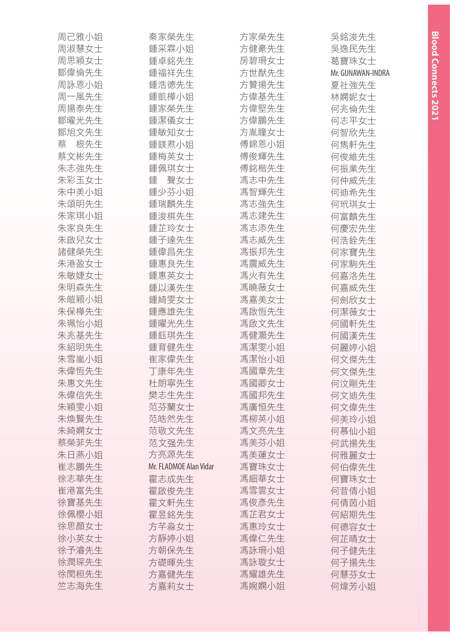| 周己雅小姐          | 秦家榮先生                  | 方家榮先生 | 吳銘浚先生             |
|----------------|------------------------|-------|-------------------|
| 周淑慧女士          | 鍾采霖小姐                  | 方健豪先生 | 吳逸民先生             |
| 周思穎女士          | 鍾卓銘先生                  | 房碧珊女士 | 葛寶珠女士             |
| 鄒偉倫先生          | 鍾福祥先生                  | 方世猷先生 | Mr. GUNAWAN-INDRA |
| 周詠恩小姐          | 鍾浩德先生                  | 方贊揚先生 | 夏社強先生             |
| 周一風先生          | 鍾凱樺小姐                  | 方偉基先生 | 林嫻妮女士             |
| 周揚泰先生          | 鍾家榮先生                  | 方偉堅先生 | 何兆倫先生             |
| 鄒曜光先生          | 鍾潔儀女士                  | 方偉鵬先生 | 何志平女士             |
| 鄒旭文先生          | 鍾敏知女士                  | 方胤瞳女士 | 何智欣先生             |
| 根先生<br>蔡       | 鍾鎂焄小姐                  | 傅錦恩小姐 | 何雋軒先生             |
| 蔡文彬先生          | 鍾梅英女士                  | 傅俊輝先生 | 何俊維先生             |
| 朱志強先生          | 鍾佩琪女士                  | 傅銘楷先生 | 何振業先生             |
| 朱彩玉女士          | 聲女士<br>鍾               | 馮志中先生 | 何仲威先生             |
| 朱中美小姐          | 鍾少芬小姐                  | 馮智輝先生 | 何迪希先生             |
| 朱頌明先生          | 鍾瑞麟先生                  | 馮志強先生 | 何玳琪女士             |
| 朱家琪小姐          | 鍾浚棋先生                  | 馮志建先生 | 何富麟先生             |
| 朱家良先生          | 鍾芷玲女士                  | 馮志添先生 | 何慶宏先生             |
| 朱啟兒女士          | 鍾子達先生                  | 馮志威先生 | 何浩銓先生             |
| 諸健榮先生          | 鍾偉昌先生                  | 馮振邦先生 | 何家寶先生             |
| 朱港盈女士          | 鍾惠良先生                  | 馮震威先生 | 何家駒先生             |
| 朱敏婕女士          | 鍾惠英女士                  | 馮火有先生 | 何嘉洛先生             |
| 朱明森先生          | 鍾以漢先生                  | 馮曉薇女士 | 何嘉威先生             |
| 朱皚穎小姐          | 鍾綺雯女士                  | 馮嘉美女士 | 何劍欣女士             |
| 朱保樺先生          | 鍾應雄先生                  | 馮啟恒先生 | 何潔薇女士             |
| 朱珮怡小姐          | 鍾曜光先生                  | 馮啟文先生 | 何國軒先生             |
| 朱兆基先生          | 鍾鈺琪先生                  | 馮健灝先生 | 何國漢先生             |
| 朱紹明先生          | 鍾育健先生                  | 馮潔雯小姐 | 何麗婷小姐             |
| 朱雪嵐小姐          | 崔家偉先生                  | 馮潔怡小姐 | 何文傑先生             |
| 朱偉恆先生          | 丁康年先生                  | 馮國章先生 | 何文傑先生             |
| 朱惠文先生          | 杜朗寧先生                  | 馮國卿女士 | 何汶剛先生             |
| 朱偉信先生          | 樊志生先生                  | 馮國邦先生 | 何文迪先生             |
| 朱穎雯小姐          | 范芬蘭女士                  | 馮廣恒先生 | 何文偉先生             |
| 朱煥賢先生          | 范皓然先生                  | 馮柳英小姐 | 何美玲小姐             |
| 朱綺嫻女士          | 范敬文先生                  | 馮文亮先生 | 何慕仙小姐             |
| 蔡榮菲先生          | 范文强先生                  | 馮美芬小姐 | 何武揚先生             |
| 朱日燕小姐          | 方亮源先生                  | 馮美蓮女士 | 何雅麗女士             |
| 崔志鵬先生          | Mr. FLADMOE Alan Vidar | 馮寶珠女士 | 何伯偉先生             |
| 徐志華先生          | 霍志成先生                  | 馮細華女士 | 何寶珠女士             |
| 崔港富先生          | 霍啟俊先生                  | 馮雪雲女士 | 何昔倩小姐             |
| 徐寶基先生          | 霍文軒先生                  | 馮俊彥先生 | 何倩茵小姐             |
| 徐佩櫻小姐          | 霍昱銘先生                  | 馮芷君女士 | 何紹期先生             |
| 徐思顏女士          | 方芊淼女士                  | 馮惠玲女士 | 何德容女士             |
| 徐小英女士<br>徐予濬先生 | 方靜婷小姐                  | 馮偉仁先生 | 何芷晴女士             |
|                | 方朝保先生                  | 馮詠珊小姐 | 何子健先生             |
| 徐潤琛先生          | 方礎暉先生                  | 馮詠璇女士 | 何子揚先生             |
| 徐閏桓先生          | 方嘉健先生                  | 馮耀雄先生 | 何慧芬女士             |
| 竺志海先生          | 方嘉莉女士                  | 馮婉嫻小姐 | 何煒芳小姐             |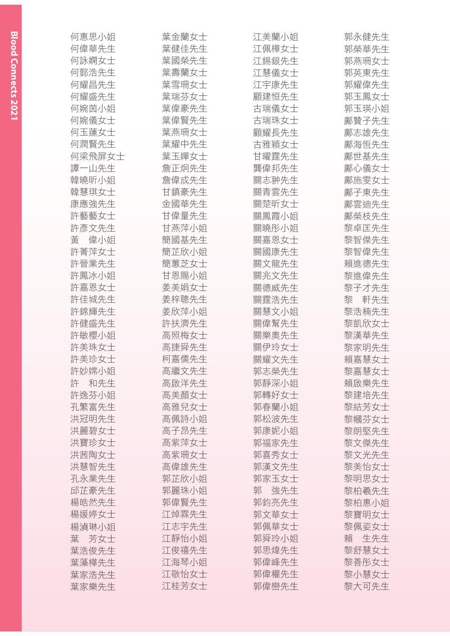| 何惠思小姐    | 葉金蘭女士 | 江美蘭小姐    | 郭永健先生    |
|----------|-------|----------|----------|
| 何偉華先生    | 葉健佳先生 | 江佩樺女士    | 郭榮華先生    |
| 何詠嫻女士    | 葉國榮先生 | 江錫銀先生    | 郭燕珊女士    |
| 何懿浩先生    | 葉壽蘭女士 | 江慧儀女士    | 郭英東先生    |
| 何耀昌先生    | 葉雪珊女士 | 江宇康先生    | 郭耀偉先生    |
| 何耀盛先生    | 葉瑞芬女士 | 顧建恒先生    | 郭玉鳳女士    |
| 何婉茵小姐    | 葉偉豪先生 | 古瑞儀女士    | 郭玉瑛小姐    |
| 何婉儀女士    | 葉偉賢先生 | 古瑞珠女士    | 鄺贊子先生    |
| 何玉蓮女士    | 葉燕珊女士 | 顧耀長先生    | 鄺志雄先生    |
| 何潤賢先生    | 葉耀中先生 | 古雅穎女士    | 鄺海恒先生    |
| 何梁飛屏女士   | 葉玉嬋女士 | 甘曜霆先生    | 鄺世基先生    |
| 譚一山先生    | 詹正炯先生 | 龔偉邦先生    | 鄺心儀女士    |
| 韓曉昕小姐    | 詹偉成先生 | 關志翀先生    | 鄺施雯女士    |
| 韓慧琪女士    | 甘鎮豪先生 | 關青雲先生    | 鄺子東先生    |
| 康應強先生    | 金國華先生 | 關楚昕女士    | 鄺雲迪先生    |
| 許藝藝女士    | 甘偉量先生 | 關鳳霞小姐    | 鄺榮枝先生    |
| 許彥文先生    | 甘燕萍小姐 | 關曉彤小姐    | 黎卓匡先生    |
| 偉小姐<br>畵 | 簡國基先生 | 關嘉恩女士    | 黎智傑先生    |
| 許菁萍女士    | 簡芷欣小姐 | 關國康先生    | 黎智偉先生    |
| 許晉業先生    | 簡蕙芝女士 | 關文龍先生    | 賴進德先生    |
| 許鳳冰小姐    | 甘恩賜小姐 | 關兆文先生    | 黎進偉先生    |
| 許嘉恩女士    | 姜美娟女士 | 關德威先生    | 黎子才先生    |
| 許佳城先生    | 姜梓聰先生 | 關霆浩先生    | 軒先生<br>黎 |
| 許錦輝先生    | 姜欣萍小姐 | 關慧文小姐    | 黎浩楠先生    |
| 許健盛先生    | 許扶濟先生 | 關偉幫先生    | 黎凱欣女士    |
| 許敏櫻小姐    | 高照梅女士 | 關樂奧先生    | 黎漢華先生    |
| 許美珠女士    | 高捷舜先生 | 關伊玲女士    | 黎家明先生    |
| 許美珍女士    | 柯嘉儒先生 | 關耀文先生    | 賴嘉慧女士    |
| 許妙嫦小姐    | 高繼文先生 | 郭志榮先生    | 黎嘉慧女士    |
| 和先生<br>許 | 高啟洋先生 | 郭靜深小姐    | 賴啟樂先生    |
| 許逸芬小姐    | 高美顏女士 | 郭轉好女士    | 黎建培先生    |
| 孔繁富先生    | 高雅兒女士 | 郭春蘭小姐    | 黎結芳女士    |
| 洪冠明先生    | 高佩詩小姐 | 郭松波先生    | 黎幗芬女士    |
| 洪麗碧女士    | 高子昂先生 | 郭康妮小姐    | 黎朗堅先生    |
| 洪寶珍女士    | 高紫萍女士 | 郭福家先生    | 黎文傑先生    |
| 洪茜陶女士    | 高紫珊女士 | 郭喜秀女士    | 黎文光先生    |
| 洪慧智先生    | 高偉雄先生 | 郭漢文先生    | 黎美怡女士    |
| 孔永業先生    | 郭芷欣小姐 | 郭家玉女士    | 黎明思女士    |
| 邱芷豪先生    | 郭麗珠小姐 | 郭<br>強先生 | 黎柏羲先生    |
| 楊皓然先生    | 郭偉賢先生 | 郭鈞亮先生    | 黎柏惠小姐    |
| 楊媛婷女士    | 江焯霖先生 | 郭文華女士    | 黎寶明女士    |
| 楊湞琳小姐    | 江志宇先生 | 郭佩華女士    | 黎佩姿女士    |
| 葉<br>芳女士 | 江靜怡小姐 | 郭舜玲小姐    | 生先生<br>賴 |
| 葉浩俊先生    | 江俊禧先生 | 郭思煒先生    | 黎舒慧女士    |
| 葉藻樺先生    | 江海琴小姐 | 郭偉峰先生    | 黎善彤女士    |
| 葉家浩先生    | 江敬怡女士 | 郭偉權先生    | 黎小慧女士    |
| 葉家樂先生    | 江桂芳女士 | 郭偉巒先生    | 黎大可先生    |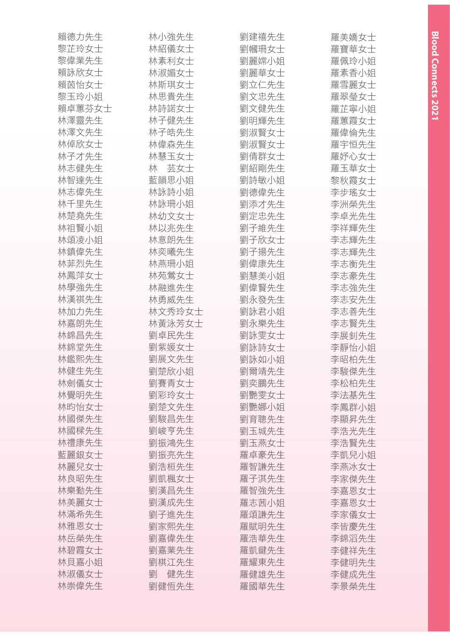| 賴德力先生  | 林小強先生    | 劉建禧先生 | 羅美嬌女士 |
|--------|----------|-------|-------|
| 黎芷玲女士  | 林紹儀女士    | 劉幗珊女士 | 羅寶華女士 |
| 黎偉業先生  | 林素利女士    | 劉麗嫦小姐 | 羅佩玲小姐 |
| 賴詠欣女士  | 林淑媚女士    | 劉麗華女士 | 羅素香小姐 |
| 賴茵怡女士  | 林斯琪女士    | 劉立仁先生 | 羅雪麗女士 |
| 黎玉玲小姐  | 林思貴先生    | 劉文忠先生 | 羅翠瑩女士 |
| 賴卓蕙芬女士 | 林詩諾女士    | 劉文健先生 | 羅芷寧小姐 |
| 林澤靈先生  | 林子健先生    | 劉明輝先生 | 羅蕙霞女士 |
| 林澤文先生  | 林子皓先生    | 劉淑賢女士 | 羅偉倫先生 |
| 林倬欣女士  | 林偉森先生    | 劉淑賢女士 | 羅宇恒先生 |
| 林子才先生  | 林慧玉女士    | 劉倩群女士 | 羅妤心女士 |
| 林志健先生  | 林 芸女士    | 劉紹剛先生 | 羅玉華女士 |
| 林智達先生  | 藍韻思小姐    | 劉詩敏小姐 | 黎秋霞女士 |
| 林志偉先生  | 林詠詩小姐    | 劉德偉先生 | 李步瑤女士 |
| 林千里先生  | 林詠珊小姐    | 劉添才先生 | 李洲榮先生 |
| 林楚堯先生  | 林幼文女士    | 劉定忠先生 | 李卓光先生 |
| 林祖賢小姐  | 林以兆先生    | 劉子維先生 | 李祥輝先生 |
| 林頌凌小姐  | 林意朗先生    | 劉子欣女士 | 李志輝先生 |
| 林鎮偉先生  | 林奕曦先生    | 劉子揚先生 | 李志輝先生 |
| 林菲烈先生  | 林燕珊小姐    | 劉偉康先生 | 李志衡先生 |
| 林鳳萍女士  | 林苑鶯女士    | 劉慧美小姐 | 李志豪先生 |
| 林學強先生  | 林融進先生    | 劉偉賢先生 | 李志強先生 |
| 林漢祺先生  | 林勇威先生    | 劉永發先生 | 李志安先生 |
| 林加力先生  | 林文秀玲女士   | 劉詠君小姐 | 李志善先生 |
| 林嘉朗先生  | 林黃泳芳女士   | 劉永樂先生 | 李志賢先生 |
| 林錦昌先生  | 劉卓民先生    | 劉詠雯女士 | 李展釗先生 |
| 林錦堂先生  | 劉紫媛女士    | 劉詠詩女士 | 李靜怡小姐 |
| 林鑑熙先生  | 劉展文先生    | 劉詠如小姐 | 李昭柏先生 |
| 林健生先生  | 劉楚欣小姐    | 劉爾靖先生 | 李駿傑先生 |
| 林劍儀女士  | 劉賽青女士    | 劉奕鵬先生 | 李松柏先生 |
| 林覺明先生  | 劉彩玲女士    | 劉艷雯女士 | 李法基先生 |
| 林昀怡女士  | 劉楚文先生    | 劉艷娜小姐 | 李鳳群小姐 |
| 林國傑先生  | 劉駿昌先生    | 劉育聰先生 | 李顯昇先生 |
| 林國樑先生  | 劉峻亨先生    | 劉玉城先生 | 李浩光先生 |
| 林禮康先生  | 劉振鴻先生    | 劉玉燕女士 | 李浩賢先生 |
| 藍麗銀女士  | 劉振亮先生    | 羅卓豪先生 | 李凱兒小姐 |
| 林麗兒女士  | 劉浩桓先生    | 羅智謙先生 | 李燕冰女士 |
| 林良昭先生  | 劉凱楓女士    | 羅子淇先生 | 李家傑先生 |
| 林樂勤先生  | 劉漢昌先生    | 羅智強先生 | 李嘉恩女士 |
| 林美麗女士  | 劉漢成先生    | 羅志茜小姐 | 李嘉恩女士 |
| 林滿希先生  | 劉子進先生    | 羅頌謙先生 | 李家儀女士 |
| 林雅恩女士  | 劉家熙先生    | 羅賦明先生 | 李皆慶先生 |
| 林岳榮先生  | 劉嘉偉先生    | 羅浩華先生 | 李錦滔先生 |
| 林碧霞女士  | 劉嘉業先生    | 羅凱鍵先生 | 李健祥先生 |
| 林貝嘉小姐  | 劉棋江先生    | 羅耀東先生 | 李健明先生 |
| 林淑儀女士  | 健先生<br>劉 | 羅健雄先生 | 李健成先生 |
| 林崇偉先生  | 劉健恒先生    | 羅國華先生 | 李景榮先生 |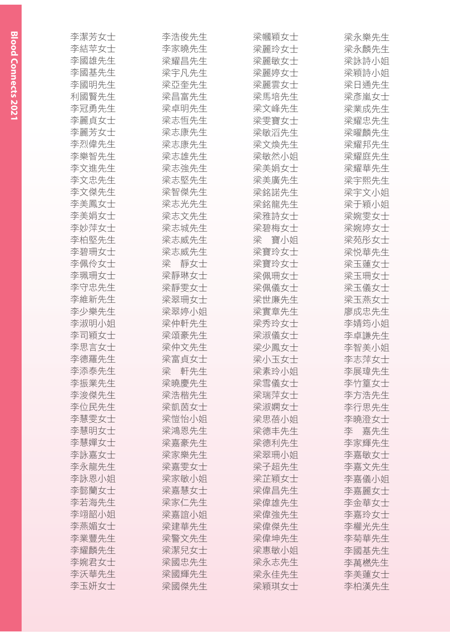| 李潔芳女士 | 李浩俊先生    | 梁幗穎女士 | 梁永樂先生 |
|-------|----------|-------|-------|
| 李結苹女士 | 李家曉先生    | 梁麗玲女士 | 梁永麟先生 |
| 李國雄先生 | 梁耀昌先生    | 梁麗敏女士 | 梁詠詩小姐 |
| 李國基先生 | 梁宇凡先生    | 梁麗婷女士 | 梁穎詩小姐 |
| 李國明先生 | 梁亞奎先生    | 梁麗雲女士 | 梁日通先生 |
| 利國賢先生 | 梁昌富先生    | 梁馬培先生 | 梁彥嵐女士 |
| 李冠勇先生 | 梁卓明先生    | 梁文峰先生 | 梁業成先生 |
| 李麗貞女士 | 梁志恒先生    | 梁雯寶女士 | 梁耀忠先生 |
| 李麗芳女士 | 梁志康先生    | 梁敏滔先生 | 梁曜麟先生 |
| 李烈偉先生 | 梁志康先生    | 梁文煥先生 | 梁耀邦先生 |
| 李樂智先生 | 梁志雄先生    | 梁敏然小姐 | 梁耀庭先生 |
| 李文進先生 | 梁志強先生    | 梁美娟女士 | 梁耀華先生 |
| 李文忠先生 | 梁志堅先生    | 梁美廣先生 | 梁宇熙先生 |
| 李文傑先生 | 梁智傑先生    | 梁銘諾先生 | 梁宇文小姐 |
| 李美鳳女士 | 梁志光先生    | 梁銘龍先生 | 梁于穎小姐 |
| 李美娟女士 | 梁志文先生    | 梁雅詩女士 | 梁婉雯女士 |
| 李妙萍女士 | 梁志城先生    | 梁碧梅女士 | 梁婉婷女士 |
| 李柏堅先生 | 梁志威先生    | 梁 寶小姐 | 梁苑彤女士 |
| 李碧珊女士 | 梁志威先生    | 梁寶玲女士 | 梁悦華先生 |
| 李佩伶女士 | 靜女士<br>梁 | 梁寶玲女士 | 梁玉蓮女士 |
| 李珮珊女士 | 梁靜琳女士    | 梁佩珊女士 | 梁玉珊女士 |
| 李守忠先生 | 梁靜雯女士    | 梁佩儀女十 | 梁玉儀女十 |
| 李維新先生 | 梁翠珊女士    | 梁世廉先生 | 梁玉燕女士 |
| 李少樂先生 | 梁翠婷小姐    | 梁實章先生 | 廖成忠先生 |
| 李淑明小姐 | 梁仲軒先生    | 梁秀玲女士 | 李婧筠小姐 |
| 李司穎女士 | 梁頌豪先生    | 梁淑儀女十 | 李卓謙先生 |
| 李思言女士 | 梁仲文先生    | 梁少鳳女士 | 李智美小姐 |
| 李德羅先生 | 梁富貞女士    | 梁小玉女士 | 李志萍女士 |
| 李添泰先生 | 梁<br>軒先生 | 梁素玲小姐 | 李展瑋先生 |
| 李振業先生 | 梁曉慶先生    | 梁雪儀女士 | 李竹篁女士 |
| 李浚傑先生 | 梁浩楷先生    | 梁瑞萍女士 | 李方浩先生 |
| 李位民先生 | 梁凱茵女士    | 梁淑嫻女士 | 李行思先生 |
| 李慧雯女士 | 梁愷怡小姐    | 梁思蓓小姐 | 李曉澄女士 |
| 李慧明女士 | 梁鴻恩先生    | 梁德丰先生 | 李 嘉先生 |
| 李慧嬋女十 | 梁嘉豪先生    | 梁德利先生 | 李家輝先生 |
| 李詠嘉女士 | 梁家樂先生    | 梁翠珊小姐 | 李嘉敏女十 |
| 李永龍先生 | 梁嘉雯女士    | 梁子招先生 | 李嘉文先生 |
| 李詠恩小姐 | 梁家敏小姐    | 梁芷穎女士 | 李嘉儀小姐 |
| 李懿蘭女士 | 梁嘉慧女士    | 梁偉昌先生 | 李嘉麗女士 |
| 李若海先生 | 梁家仁先生    | 梁偉雄先生 | 李金華女士 |
| 李翊韶小姐 | 梁嘉誼小姐    | 梁偉強先生 | 李嘉玲女士 |
| 李燕媚女士 | 梁建華先生    | 梁偉傑先生 | 李權光先生 |
| 李業豐先生 | 梁警文先生    | 梁偉坤先生 | 李菊華先生 |
| 李耀麟先生 | 梁潔兒女士    | 梁惠敏小姐 | 李國基先生 |
| 李婉君女士 | 梁國忠先生    | 梁永志先生 | 李萬橪先生 |
| 李沃華先生 | 梁國輝先生    | 梁永佳先生 | 李美蓮女士 |
| 李玉妍女士 | 梁國傑先生    | 梁穎琪女士 | 李柏漢先生 |
|       |          |       |       |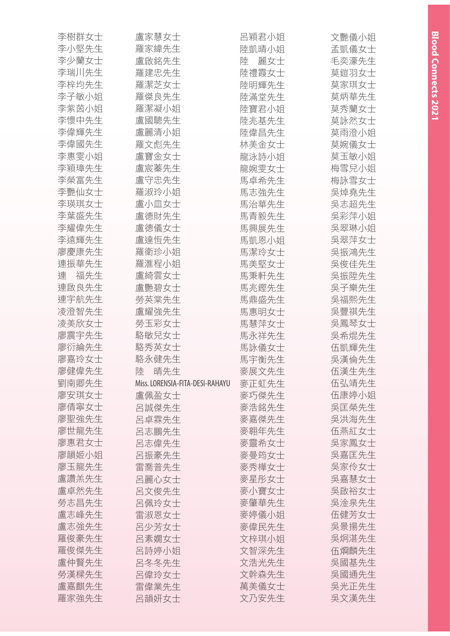| 李樹群女士    | 盧家慧女士                           | 呂穎君小姐    | 文艷儀小姐 |
|----------|---------------------------------|----------|-------|
| 李小堅先生    | 羅家緯先生                           | 陸凱晴小姐    | 孟凱儀女士 |
| 李少蘭女士    | 盧啟銘先生                           | 麗女士<br>陸 | 毛奕濠先生 |
| 李瑞川先生    | 羅建忠先生                           | 陸禮霞女士    | 莫鎧羽女士 |
| 李梓均先生    | 羅潔芝女士                           | 陸明輝先生    | 莫家琪女士 |
| 李子敏小姐    | 羅傑良先生                           | 陸滿堂先生    | 莫炳華先生 |
| 李紫茵小姐    | 羅潔凝小姐                           | 陸寶君小姐    | 莫秀蘭女士 |
| 李懷中先生    | 盧國驄先生                           | 陸兆基先生    | 莫詠然女士 |
| 李偉輝先生    | 盧麗清小姐                           | 陸偉昌先生    | 莫雨澄小姐 |
| 李偉國先生    | 羅文彪先生                           | 林美金女士    | 莫婉儀女士 |
| 李惠雯小姐    | 盧寶金女士                           | 龍泳詩小姐    | 莫玉敏小姐 |
| 李穎璋先生    | 盧宸蓁先生                           | 龍婉雯女士    | 梅雪兒小姐 |
| 李榮富先生    | 盧守忠先生                           | 馬卓希先生    | 梅詠雪女士 |
| 李艷仙女士    | 羅淑玲小姐                           | 馬志強先生    | 吳焯堯先生 |
| 李瑛琪女士    | 盧小皿女士                           | 馬治華先生    | 吳志超先生 |
| 李葉盛先生    | 盧德財先生                           | 馬青毅先生    | 吳彩萍小姐 |
| 李耀偉先生    | 盧德儀女士                           | 馬興展先生    | 吳翠琳小姐 |
| 李遠輝先生    | 盧達恒先生                           | 馬凱恩小姐    | 吳翠萍女士 |
| 廖慶康先生    | 羅衛珍小姐                           | 馬潔玲女士    | 吳振鴻先生 |
| 連振華先生    | 羅滙程小姐                           | 馬美堅女士    | 吳俊佳先生 |
| 福先生<br>連 | 盧綺雲女士                           | 馬秉軒先生    | 吳振陞先生 |
| 連啟良先生    | 盧艷碧女士                           | 馬兆鏗先生    | 吳子樂先生 |
| 連宇航先生    | 勞英棠先生                           | 馬鼎盛先生    | 吳福熙先生 |
| 凌澄智先生    | 盧耀強先生                           | 馬惠明女士    | 吳豐祺先生 |
| 凌美欣女士    | 勞玉彩女士                           | 馬慧萍女士    | 吳鳳琴女士 |
| 廖震宇先生    | 駱敏兒女士                           | 馬永祥先生    | 吳希焜先生 |
| 廖衍綸先生    | 駱秀英女士                           | 馬詠儀女士    | 伍凱輝先生 |
| 廖嘉玲女士    | 駱永健先生                           | 馬宇衡先生    | 吳漢倫先生 |
| 廖健偉先生    | 晴先生<br>陸                        | 麥展文先生    | 伍漢生先生 |
| 劉南卿先生    | Miss. LORENSIA-FITA-DESI-RAHAYU | 麥正虹先生    | 伍弘靖先生 |
| 廖安琪女士    | 盧佩盈女士                           | 麥巧傑先生    | 伍康婷小姐 |
| 廖倩寧女士    | 呂誠傑先生                           | 麥浩銘先生    | 吳匡榮先生 |
| 廖聖強先生    | 呂卓霖先生                           | 麥嘉傑先生    | 吳洪海先生 |
| 廖世龍先生    | 呂志鵬先生                           | 麥翱年先生    | 伍燕紅女士 |
| 廖惠君女士    | 呂志偉先生                           | 麥靈希女士    | 吳家鳳女士 |
| 廖韻姬小姐    | 呂振豪先生                           | 麥曼筠女士    | 吳嘉匡先生 |
| 廖玉龍先生    | 雷喬普先生                           | 麥秀樺女士    | 吳家伶女士 |
| 盧讚羔先生    | 呂麗心女士                           | 麥星彤女士    | 吳嘉慧女士 |
| 盧卓然先生    | 呂文俊先生                           | 麥小寶女士    | 吳啟裕女士 |
| 勞志昌先生    | 呂佩玲女士                           | 麥肇華先生    | 吳淦泉先生 |
| 盧志峰先生    | 雷淑恩女士                           | 麥婷儀小姐    | 伍健芳女士 |
| 盧志強先生    | 呂少芳女士                           | 麥偉民先生    | 吳景揚先生 |
| 羅俊豪先生    | 呂素嫺女士                           | 文梓琪小姐    | 吳炯湛先生 |
| 羅俊傑先生    | 呂詩婷小姐                           | 文智深先生    | 伍烱麟先生 |
| 盧仲賢先生    | 呂冬冬先生                           | 文浩光先生    | 吳國基先生 |
| 勞漢樑先生    | 呂偉玲女士                           | 文幹森先生    | 吳國通先生 |
| 盧嘉麒先生    | 雷偉業先生                           | 萬美儀女士    | 吳光正先生 |
| 羅家強先生    | 呂韻妍女士                           | 文乃安先生    | 吳文漢先生 |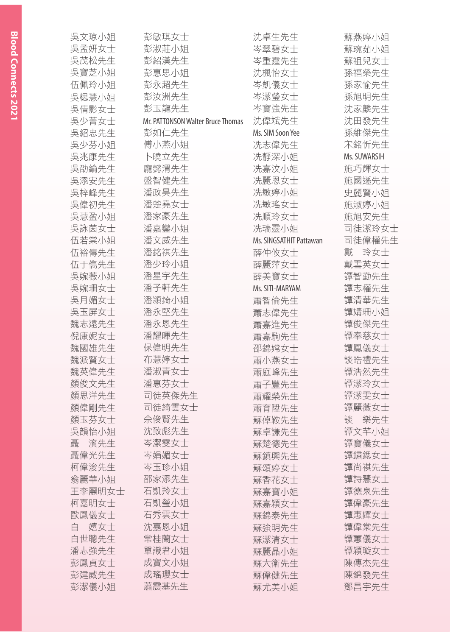| 吳文琼小姐    | 彭敏琪女士                             | 沈卓生先生                   | 蘇燕婷小姐        |
|----------|-----------------------------------|-------------------------|--------------|
| 吳孟妍女士    | 彭淑莊小姐                             | 岑翠碧女士                   | 蘇琬茹小姐        |
| 吳茂松先生    | 彭紹漢先生                             | 岑重霆先生                   | 蘇祖兒女士        |
| 吳寶芝小姐    | 彭惠思小姐                             | 沈楓怡女士                   | 孫福榮先生        |
| 伍佩玲小姐    | 彭永超先生                             | 岑凱儀女士                   | 孫家愉先生        |
| 吳楒慧小姐    | 彭汝洲先生                             | 岑潔瑩女士                   | 孫旭明先生        |
| 吳倩影女士    | 彭玉龍先生                             | 岑寶強先生                   | 沈家麟先生        |
| 吳少菁女士    | Mr. PATTONSON Walter Bruce Thomas | 沈偉斌先生                   | 沈田發先生        |
| 吳紹忠先生    | 彭如仁先生                             | Ms. SIM Soon Yee        | 孫維傑先生        |
| 吳少芬小姐    | 傅小燕小姐                             | 冼志偉先生                   | 宋銘忻先生        |
| 吳兆康先生    | 卜曉立先生                             | 冼靜深小姐                   | Ms. SUWARSIH |
| 吳劭綸先生    | 龐懿渭先生                             | 冼嘉汶小姐                   | 施巧輝女士        |
| 吳添安先生    | 盤智健先生                             | 冼麗恩女士                   | 施國遜先生        |
| 吳梓峰先生    | 潘政昊先生                             | 冼敏婷小姐                   | 史麗賢小姐        |
| 吳偉初先生    | 潘楚堯女士                             | 冼敏瑤女士                   | 施淑婷小姐        |
| 吳慧盈小姐    | 潘家豪先生                             | 冼順玲女士                   | 施旭安先生        |
| 吳詠茵女士    | 潘嘉鑾小姐                             | 冼瑞靈小姐                   | 司徒潔玲女士       |
| 伍若棠小姐    | 潘文威先生                             | Ms. SINGSATHIT Pattawan | 司徒偉權先生       |
| 伍裕傳先生    | 潘銘祺先生                             | 薛仲攸女士                   | 戴<br>玲女士     |
| 伍于儁先生    | 潘少玲小姐                             | 薛麗萍女士                   | 戴雪英女士        |
| 吳婉薇小姐    | 潘星宇先生                             | 薛美寶女士                   | 譚智勤先生        |
| 吳婉珊女士    | 潘子軒先生                             | Ms. SITI-MARYAM         | 譚志權先生        |
| 吳月媚女士    | 潘潁錡小姐                             | 蕭智倫先生                   | 譚清華先生        |
| 吳玉屏女士    | 潘永堅先生                             | 蕭志偉先生                   | 譚婧珊小姐        |
| 魏志遠先生    | 潘永恩先生                             | 蕭嘉進先生                   | 譚俊傑先生        |
| 倪康妮女士    | 潘耀暉先生                             | 蕭嘉駒先生                   | 譚奉慈女士        |
| 魏國雄先生    | 保偉明先生                             | 邵錦嫦女士                   | 譚鳳儀女士        |
| 魏派賢女士    | 布慧婷女士                             | 蕭小燕女士                   | 談皓禮先生        |
| 魏英偉先生    | 潘淑青女士                             | 蕭庭峰先生                   | 譚浩然先生        |
| 顏俊文先生    | 潘惠芬女士                             | 蕭子豐先生                   | 譚潔玲女士        |
| 顏思洋先生    | 司徒英傑先生                            | 蕭耀榮先生                   | 譚潔雯女士        |
| 顏偉剛先生    | 司徒綺雲女士                            | 蕭育陞先生                   | 譚麗薇女士        |
| 顏玉芬女士    | 佘俊賢先生                             | 蘇倬鞍先生                   | 談<br>樂先生     |
| 吳韻怡小姐    | 沈致彪先生                             | 蘇卓謙先生                   | 譚文芊小姐        |
| 濱先生<br>聶 | 岑潔雯女士                             | 蘇楚德先生                   | 譚寶儀女士        |
| 聶偉光先生    | 岑娟媚女士                             | 蘇鎮興先生                   | 譚鏽鍶女士        |
| 柯偉浚先生    | 岑玉珍小姐                             | 蘇頌婷女士                   | 譚尚祺先生        |
| 翁麗華小姐    | 邵家添先生                             | 蘇香花女士                   | 譚詩慧女士        |
| 王李麗明女士   | 石凱羚女士                             | 蘇嘉寶小姐                   | 譚德泉先生        |
| 柯嘉明女士    | 石凱瑩小姐                             | 蘇嘉穎女士                   | 譚偉豪先生        |
| 歐鳳儀女士    | 石秀雲女士                             | 蘇錦泰先生                   | 譚惠嬋女士        |
| 嬉女士<br>白 | 沈嘉恩小姐                             | 蘇強明先生                   | 譚偉棠先生        |
| 白世聰先生    | 常桂蘭女士                             |                         | 譚蕙儀女士        |
| 潘志強先生    | 單識君小姐                             | 蘇潔清女士                   | 譚穎璇女士        |
| 彭鳳貞女士    | 成寶文小姐                             | 蘇麗晶小姐                   | 陳傳杰先生        |
| 彭建威先生    | 成瑤瓔女士                             | 蘇大衛先生                   | 陳錦發先生        |
| 彭潔儀小姐    |                                   | 蘇偉健先生                   |              |
|          | 蕭震基先生                             | 蘇尤美小姐                   | 鄧昌宇先生        |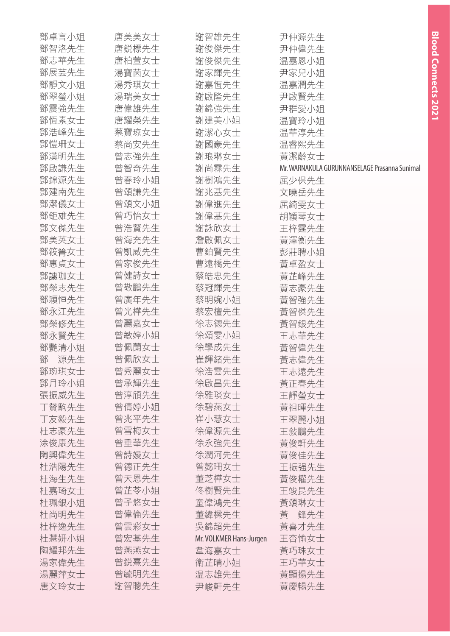| 鄧卓言小姐    | 唐美美女士 | 謝智雄先生                   | 尹仲源先生                                         |
|----------|-------|-------------------------|-----------------------------------------------|
| 鄧智洛先生    | 唐鋭標先生 | 謝俊傑先生                   | 尹仲偉先生                                         |
| 鄧志華先生    | 唐柏萱女士 | 謝俊傑先生                   | 温嘉恩小姐                                         |
| 鄧展芸先生    | 湯寶茵女士 | 謝家輝先生                   | 尹家兒小姐                                         |
| 鄧靜文小姐    | 湯秀琪女士 | 謝嘉恒先生                   | 温嘉潤先生                                         |
| 鄧翠瑩小姐    | 湯瑞美女士 | 謝啟隆先生                   | 尹啟賢先生                                         |
| 鄧震強先生    | 唐偉雄先生 | 謝錦強先生                   | 尹群愛小姐                                         |
| 鄧恒素女士    | 唐耀榮先生 | 謝建美小姐                   | 温寶玲小姐                                         |
| 鄧浩峰先生    | 蔡寶琼女士 | 謝潔心女士                   | 温華淳先生                                         |
| 鄧愷珊女士    | 蔡尚安先生 | 謝國豪先生                   | 温睿熙先生                                         |
| 鄧漢明先生    | 曾志強先生 | 謝琅琳女士                   | 黃潔齡女士                                         |
| 鄧啟謙先生    | 曾智奇先生 | 謝尚霖先生                   | Mr. WARNAKULA GURUNNANSELAGE Prasanna Sunimal |
| 鄧錦源先生    | 曾春玲小姐 | 謝樹鴻先生                   | 屈少保先生                                         |
| 鄧建南先生    | 曾頌謙先生 | 謝兆基先生                   | 文曉岳先生                                         |
| 鄧潔儀女士    | 曾頌文小姐 | 謝偉進先生                   | 屈綺雯女士                                         |
| 鄧鉅雄先生    | 曾巧怡女士 | 謝偉基先生                   | 胡穎琴女士                                         |
| 鄧文傑先生    | 曾浩賢先生 | 謝詠欣女士                   | 王梓霆先生                                         |
| 鄧美英女士    | 曾海充先生 | 詹啟佩女士                   | 黃澤衡先生                                         |
| 鄧筱箐女士    | 曾凱威先生 | 曹鉑賢先生                   | 彭莊聘小姐                                         |
| 鄧惠貞女士    | 曾家俊先生 | 曹遠橋先生                   | 黃卓盈女士                                         |
| 鄧譓珈女士    | 曾健詩女士 | 蔡皓忠先生                   | 黃芷峰先生                                         |
| 鄧榮志先生    | 曾敬鵬先生 | 蔡冠輝先生                   | 黃志豪先生                                         |
| 鄧穎恒先生    | 曾廣年先生 | 蔡明婉小姐                   | 黃智強先生                                         |
| 鄧永江先生    | 曾光樺先生 | 蔡宏檀先生                   | 黃智傑先生                                         |
| 鄧榮修先生    | 曾麗嘉女士 | 徐志德先生                   | 黃智銀先生                                         |
| 鄧永賢先生    | 曾敏婷小姐 | 徐頌雯小姐                   | 王志華先生                                         |
| 鄧艷清小姐    | 曾佩蘭女士 | 徐學成先生                   | 黃智偉先生                                         |
| 源先生<br>鄧 | 曾佩欣女士 | 崔輝緒先生                   | 黃志偉先生                                         |
| 鄧琬琪女士    | 曾秀麗女士 | 徐浩雲先生                   | 王志遠先生                                         |
| 鄧月玲小姐    | 曾承輝先生 | 徐啟昌先生                   | 黃正春先生                                         |
| 張振威先生    | 曾淳頎先生 | 徐雅琰女士                   | 王靜瑩女士                                         |
| 丁贊駒先生    | 曾倩婷小姐 | 徐碧燕女士                   | 黃祖暉先生                                         |
| 丁友毅先生    | 曾兆平先生 | 崔小慧女士                   | 王翠麗小姐                                         |
| 杜志豪先生    | 曾雪梅女士 | 徐偉源先生                   | 王敍鵬先生                                         |
| 涂俊康先生    | 曾垂華先生 | 徐永強先生                   | 黃俊軒先生                                         |
| 陶興偉先生    | 曾詩嫚女士 | 徐潤河先生                   | 黃俊佳先生                                         |
| 杜浩陽先生    | 曾德正先生 | 曾懿珊女士                   | 王振强先生                                         |
| 杜海生先生    | 曾天恩先生 | 董芝樺女士                   | 黃俊權先生                                         |
| 杜嘉琦女士    | 曾芷苓小姐 | 佟樹賢先生                   | 王竣昆先生                                         |
| 杜珮銀小姐    | 曾子悠女士 | 童偉鴻先生                   | 黃頌琳女士                                         |
| 杜尚明先生    | 曾偉倫先生 | 董緯樑先生                   | 黃<br>鋒先生                                      |
| 杜梓逸先生    | 曾雲彩女士 | 吳錦超先生                   | 黃喜才先生                                         |
| 杜慧妍小姐    | 曾宏基先生 | Mr. VOLKMER Hans-Jurgen | 王杏愉女士                                         |
| 陶耀邦先生    | 曾燕燕女士 | 韋海嘉女士                   | 黃巧珠女士                                         |
| 湯家偉先生    | 曾鋭熹先生 | 衛芷晴小姐                   | 王巧華女士                                         |
| 湯麗萍女士    | 曾毓明先生 | 温志雄先生                   | 黃顯揚先生                                         |
| 唐文玲女士    | 謝智聰先生 | 尹峻軒先生                   | 黃慶暢先生                                         |

**Blood Connects 2021**

**Blood Connects 2021**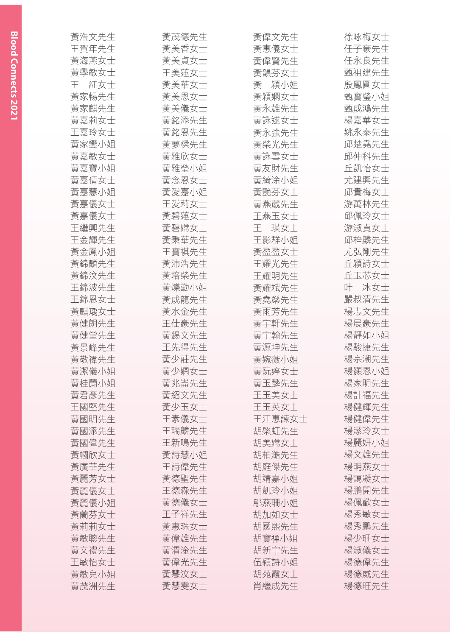| 黃浩文先生    | 黃茂德先生 | 黃偉文先生    | 徐咏梅女士 |
|----------|-------|----------|-------|
| 王賀年先生    | 黃美香女士 | 黃惠儀女士    | 任子豪先生 |
| 黃海燕女士    | 黃美貞女士 | 黃偉賢先生    | 任永良先生 |
| 黃學敏女士    | 王美蓮女士 | 黃韻芬女士    | 甄祖建先生 |
| 紅女士<br>王 | 黃美華女士 | 穎小姐<br>黃 | 殷鳳圓女士 |
| 黃家暢先生    | 黃美恩女士 | 黃穎嫻女士    | 甄寶瑩小姐 |
| 黃家麒先生    | 黃美儀女士 | 黃永雄先生    | 甄成鴻先生 |
| 黃嘉莉女士    | 黃銘添先生 | 黃詠逑女士    | 楊嘉華女士 |
| 王嘉玲女士    | 黃銘恩先生 | 黃永強先生    | 姚永泰先生 |
| 黃家鑾小姐    | 黃夢樑先生 | 黃榮光先生    | 邱楚堯先生 |
| 黃嘉敏女士    | 黃雅欣女士 | 黃詠雪女士    | 邱仲科先生 |
| 黃嘉寶小姐    | 黃雅瑩小姐 | 黃友財先生    | 丘凱怡女士 |
| 黃嘉倩女士    | 黃念恩女士 | 黃綺涂小姐    | 尤建興先生 |
| 黃嘉慧小姐    | 黃愛嘉小姐 | 黃艷芬女士    | 邱貴梅女士 |
| 黃嘉儀女士    | 王愛莉女士 | 黃燕葳先生    | 游萬林先生 |
| 黃嘉儀女士    | 黃碧蓮女士 | 王燕玉女士    | 邱佩玲女士 |
| 王繼興先生    | 黃碧嫦女士 | 干<br>瑛女士 | 游淑貞女士 |
| 王金輝先生    | 黃秉華先生 | 王影群小姐    | 邱梓麟先生 |
| 黃金鳳小姐    | 王寶祺先生 | 黃盈盈女士    | 尤弘剛先生 |
| 黃錦麟先生    | 黃沛浩先生 | 王耀光先生    | 丘穎詩女士 |
| 黃錦汶先生    | 黃培榮先生 | 王耀明先生    | 丘玉芯女士 |
| 王錦波先生    | 黃爍勤小姐 | 黃耀斌先生    | 叶 冰女士 |
| 王錦恩女士    | 黃成龍先生 | 黃堯燊先生    | 嚴叔清先生 |
| 黃麒瑀女士    | 黃水金先生 | 黃雨芳先生    | 楊志文先生 |
| 黃健朗先生    | 王仕豪先生 | 黃宇軒先生    | 楊展豪先生 |
| 黃健堂先生    | 黃錫文先生 | 黃宇翰先生    | 楊靜如小姐 |
| 黃景峰先生    | 王先得先生 | 黃源坤先生    | 楊駿捷先生 |
| 黃敬禕先生    | 黃少莊先生 | 黃婉薇小姐    | 楊宗潮先生 |
| 黃潔儀小姐    | 黃少嫻女士 | 黃阮婷女士    | 楊顥恩小姐 |
| 黃桂蘭小姐    | 黃兆崙先生 | 黃玉麟先生    | 楊家明先生 |
| 黃君彥先生    | 黃紹文先生 | 王玉美女士    | 楊計福先生 |
| 王國堅先生    | 黃少玉女士 | 王玉英女士    | 楊健輝先生 |
| 黃國明先生    | 王素儀女士 | 王江惠諫女士   | 楊健偉先生 |
| 黃國添先生    | 王瑞麟先生 | 胡棨虹先生    | 楊潔玲女士 |
| 黃國偉先生    | 王新鳴先生 | 胡美嫦女士    | 楊麗妍小姐 |
| 黃幗欣女士    | 黃詩慧小姐 | 胡柏澔先生    | 楊文雄先生 |
| 黃廣華先生    | 王詩偉先生 | 胡庭傑先生    | 楊明燕女士 |
| 黃麗芳女士    | 黃德聖先生 | 胡靖嘉小姐    | 楊藹凝女士 |
| 黃麗儀女士    | 王德森先生 | 胡凱玲小姐    | 楊鵬開先生 |
| 黃麗儀小姐    | 黃德儀女士 | 鄔燕珊小姐    | 楊佩歡女士 |
| 黃蘭芬女士    | 王子祥先生 | 胡加如女士    | 楊秀敏女士 |
| 黃莉莉女士    | 黃惠珠女士 | 胡國熙先生    | 楊秀鵬先生 |
| 黃敏聰先生    | 黃偉雄先生 | 胡寶禅小姐    | 楊少珊女士 |
| 黃文禮先生    | 黃渭淦先生 | 胡新宇先生    | 楊淑儀女士 |
| 王敏怡女士    | 黃偉光先生 | 伍穎詩小姐    | 楊德偉先生 |
| 黃敏兒小姐    | 黃慧汶女士 | 胡苑霞女士    | 楊德威先生 |
| 黃茂洲先生    | 黃慧雯女士 | 肖繼成先生    | 楊德旺先生 |